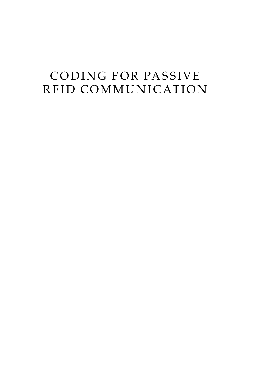# CODING FOR PASSIVE RFID COMMUNICATION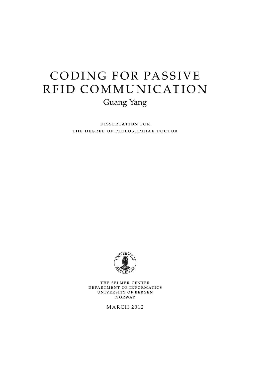# CODING FOR PASSIVE RFID COMMUNICATION Guang Yang

dissertation for the degree of philosophiae doctor



the selmer center department of informatics university of bergen norway

**MARCH 2012**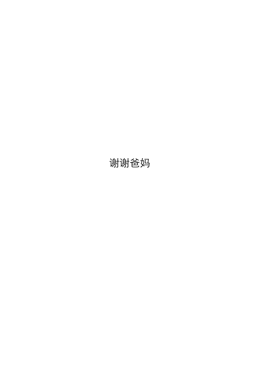# 谢谢爸妈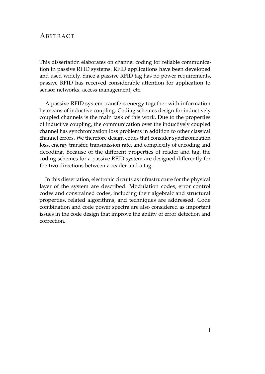# **ABSTRACT**

This dissertation elaborates on channel coding for reliable communication in passive RFID systems. RFID applications have been developed and used widely. Since a passive RFID tag has no power requirements, passive RFID has received considerable attention for application to sensor networks, access management, etc.

A passive RFID system transfers energy together with information by means of inductive coupling. Coding schemes design for inductively coupled channels is the main task of this work. Due to the properties of inductive coupling, the communication over the inductively coupled channel has synchronization loss problems in addition to other classical channel errors. We therefore design codes that consider synchronization loss, energy transfer, transmission rate, and complexity of encoding and decoding. Because of the different properties of reader and tag, the coding schemes for a passive RFID system are designed differently for the two directions between a reader and a tag.

In this dissertation, electronic circuits as infrastructure for the physical layer of the system are described. Modulation codes, error control codes and constrained codes, including their algebraic and structural properties, related algorithms, and techniques are addressed. Code combination and code power spectra are also considered as important issues in the code design that improve the ability of error detection and correction.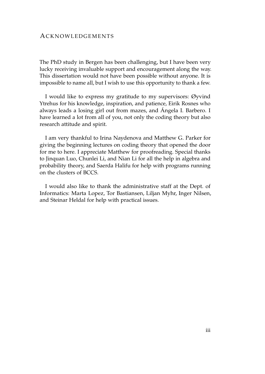# ACKNOWLEDGEMENTS

The PhD study in Bergen has been challenging, but I have been very lucky receiving invaluable support and encouragement along the way. This dissertation would not have been possible without anyone. It is impossible to name all, but I wish to use this opportunity to thank a few.

I would like to express my gratitude to my supervisors: Øyvind Ytrehus for his knowledge, inspiration, and patience, Eirik Rosnes who always leads a losing girl out from mazes, and Ángela I. Barbero. I have learned a lot from all of you, not only the coding theory but also research attitude and spirit.

I am very thankful to Irina Naydenova and Matthew G. Parker for giving the beginning lectures on coding theory that opened the door for me to here. I appreciate Matthew for proofreading. Special thanks to Jinquan Luo, Chunlei Li, and Nian Li for all the help in algebra and probability theory, and Saerda Halifu for help with programs running on the clusters of BCCS.

I would also like to thank the administrative staff at the Dept. of Informatics: Marta Lopez, Tor Bastiansen, Liljan Myhr, Inger Nilsen, and Steinar Heldal for help with practical issues.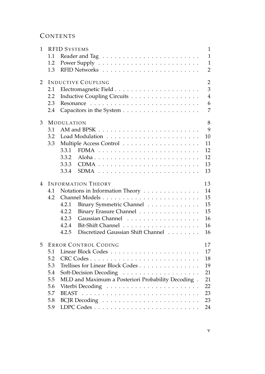# CONTENTS

| 1 |                                   | <b>RFID SYSTEMS</b>                                | $\mathbf{1}$   |  |  |  |
|---|-----------------------------------|----------------------------------------------------|----------------|--|--|--|
|   | 1.1                               |                                                    | $\mathbf{1}$   |  |  |  |
|   | 1.2                               |                                                    | $\mathbf{1}$   |  |  |  |
|   | 1.3                               |                                                    | $\overline{2}$ |  |  |  |
| 2 |                                   | <b>INDUCTIVE COUPLING</b>                          | $\overline{2}$ |  |  |  |
|   | 2.1                               |                                                    | 3              |  |  |  |
|   | 2.2                               | Inductive Coupling Circuits                        | $\overline{4}$ |  |  |  |
|   | 2.3                               |                                                    | 6              |  |  |  |
|   | 2.4                               |                                                    | 7              |  |  |  |
| 3 | 8<br><b>MODULATION</b>            |                                                    |                |  |  |  |
|   | 3.1                               |                                                    | 9              |  |  |  |
|   | 3.2                               |                                                    | 10             |  |  |  |
|   | 3.3                               |                                                    | 11             |  |  |  |
|   |                                   | 3.3.1                                              | 12             |  |  |  |
|   |                                   | 3.3.2                                              | 12             |  |  |  |
|   |                                   | 3.3.3                                              | 13             |  |  |  |
|   |                                   | 3.3.4                                              | 13             |  |  |  |
| 4 | <b>INFORMATION THEORY</b><br>13   |                                                    |                |  |  |  |
|   | 4.1                               | Notations in Information Theory                    | 14             |  |  |  |
|   | 4.2                               |                                                    | 15             |  |  |  |
|   |                                   | Binary Symmetric Channel<br>4.2.1                  | 15             |  |  |  |
|   |                                   | 4.2.2<br>Binary Erasure Channel                    | 15             |  |  |  |
|   |                                   | Gaussian Channel<br>4.2.3                          | 16             |  |  |  |
|   |                                   | 4.2.4                                              | 16             |  |  |  |
|   |                                   | Discretized Gaussian Shift Channel<br>4.2.5        | 16             |  |  |  |
| 5 | 17<br><b>ERROR CONTROL CODING</b> |                                                    |                |  |  |  |
|   | 5.1                               |                                                    | 17             |  |  |  |
|   | 5.2                               | CRC Codes                                          | 18             |  |  |  |
|   | 5.3                               | Trellises for Linear Block Codes                   | 19             |  |  |  |
|   | 5.4                               |                                                    | 21             |  |  |  |
|   | 5.5                               | MLD and Maximum a Posteriori Probability Decoding. | 21             |  |  |  |
|   | 5.6                               |                                                    | 22             |  |  |  |
|   | 5.7                               | <b>BEAST</b>                                       | 23             |  |  |  |
|   | 5.8                               |                                                    | 23             |  |  |  |
|   | 5.9                               |                                                    | 24             |  |  |  |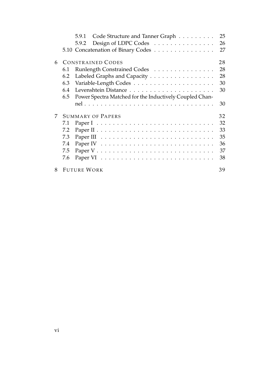|   | 5.9.1<br>Code Structure and Tanner Graph                       | 25 |
|---|----------------------------------------------------------------|----|
|   | Design of LDPC Codes<br>5.9.2                                  | 26 |
|   | 5.10 Concatenation of Binary Codes                             | 27 |
| 6 | <b>CONSTRAINED CODES</b>                                       | 28 |
|   | Runlength Constrained Codes<br>6.1                             | 28 |
|   | Labeled Graphs and Capacity<br>6.2                             | 28 |
|   | 6.3                                                            | 30 |
|   | 6.4                                                            | 30 |
|   | 6.5<br>Power Spectra Matched for the Inductively Coupled Chan- |    |
|   |                                                                | 30 |
| 7 | <b>SUMMARY OF PAPERS</b>                                       | 32 |
|   | 7.1                                                            | 32 |
|   | 7.2                                                            | 33 |
|   | 7.3                                                            | 35 |
|   | 7.4                                                            | 36 |
|   | 7.5                                                            | 37 |
|   | 7.6                                                            | 38 |
| 8 | <b>FUTURE WORK</b>                                             | 39 |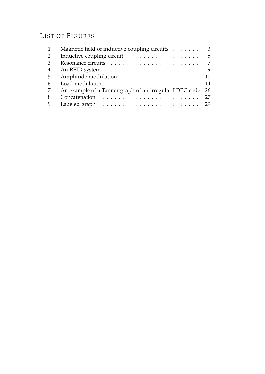# LIST OF FIGURES

|    | Magnetic field of inductive coupling circuits                            | 3 |
|----|--------------------------------------------------------------------------|---|
| 2  | Inductive coupling circuit $\ldots \ldots \ldots \ldots \ldots \ldots 5$ |   |
| 3  |                                                                          | 7 |
| 4  |                                                                          | 9 |
| -5 |                                                                          |   |
| 6  |                                                                          |   |
|    | An example of a Tanner graph of an irregular LDPC code 26                |   |
| 8  |                                                                          |   |
|    |                                                                          |   |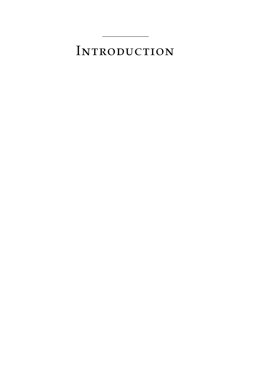# INTRODUCTION

 $\overline{\phantom{a}}$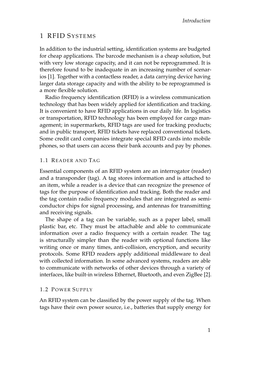# <span id="page-16-0"></span>1 RFID SYSTEMS

In addition to the industrial setting, identification systems are budgeted for cheap applications. The barcode mechanism is a cheap solution, but with very low storage capacity, and it can not be reprogrammed. It is therefore found to be inadequate in an increasing number of scenarios [\[1\]](#page-54-1). Together with a contactless reader, a data carrying device having larger data storage capacity and with the ability to be reprogrammed is a more flexible solution.

Radio frequency identification (RFID) is a wireless communication technology that has been widely applied for identification and tracking. It is convenient to have RFID applications in our daily life. In logistics or transportation, RFID technology has been employed for cargo management; in supermarkets, RFID tags are used for tracking products; and in public transport, RFID tickets have replaced conventional tickets. Some credit card companies integrate special RFID cards into mobile phones, so that users can access their bank accounts and pay by phones.

# <span id="page-16-1"></span>1.1 READER AND TAG

Essential components of an RFID system are an interrogator (reader) and a transponder (tag). A tag stores information and is attached to an item, while a reader is a device that can recognize the presence of tags for the purpose of identification and tracking. Both the reader and the tag contain radio frequency modules that are integrated as semiconductor chips for signal processing, and antennas for transmitting and receiving signals.

The shape of a tag can be variable, such as a paper label, small plastic bar, etc. They must be attachable and able to communicate information over a radio frequency with a certain reader. The tag is structurally simpler than the reader with optional functions like writing once or many times, anti-collision, encryption, and security protocols. Some RFID readers apply additional middleware to deal with collected information. In some advanced systems, readers are able to communicate with networks of other devices through a variety of interfaces, like built-in wireless Ethernet, Bluetooth, and even ZigBee [\[2\]](#page-54-2).

# <span id="page-16-2"></span>1.2 POWER SUPPLY

An RFID system can be classified by the power supply of the tag. When tags have their own power source, i.e., batteries that supply energy for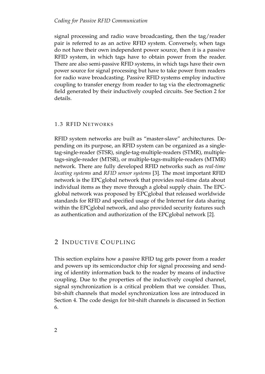#### *Coding for Passive RFID Communication*

signal processing and radio wave broadcasting, then the tag/reader pair is referred to as an active RFID system. Conversely, when tags do not have their own independent power source, then it is a passive RFID system, in which tags have to obtain power from the reader. There are also semi-passive RFID systems, in which tags have their own power source for signal processing but have to take power from readers for radio wave broadcasting. Passive RFID systems employ inductive coupling to transfer energy from reader to tag via the electromagnetic field generated by their inductively coupled circuits. See Section 2 for details.

# <span id="page-17-0"></span>1.3 RFID NETWORKS

RFID system networks are built as "master-slave" architectures. Depending on its purpose, an RFID system can be organized as a singletag-single-reader (STSR), single-tag-multiple-readers (STMR), multipletags-single-reader (MTSR), or multiple-tags-multiple-readers (MTMR) network. There are fully developed RFID networks such as *real-time locating systems* and *RFID sensor systems* [\[3\]](#page-54-3). The most important RFID network is the EPCglobal network that provides real-time data about individual items as they move through a global supply chain. The EPCglobal network was proposed by EPCglobal that released worldwide standards for RFID and specified usage of the Internet for data sharing within the EPCglobal network, and also provided security features such as authentication and authorization of the EPCglobal network [\[2\]](#page-54-2).

# <span id="page-17-1"></span>2 INDUCTIVE COUPLING

This section explains how a passive RFID tag gets power from a reader and powers up its semiconductor chip for signal processing and sending of identity information back to the reader by means of inductive coupling. Due to the properties of the inductively coupled channel, signal synchronization is a critical problem that we consider. Thus, bit-shift channels that model synchronization loss are introduced in Section 4. The code design for bit-shift channels is discussed in Section 6.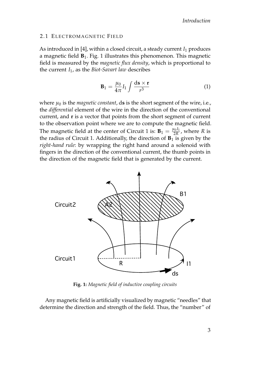# <span id="page-18-0"></span>2.1 ELECTROMAGNETIC FIELD

As introduced in [\[4\]](#page-54-4), within a closed circuit, a steady current *I*<sub>1</sub> produces a magnetic field **B**1. Fig. [1](#page-18-1) illustrates this phenomenon. This magnetic field is measured by the *magnetic flux density*, which is proportional to the current *I*1, as the *Biot-Savart law* describes

<span id="page-18-2"></span>
$$
\mathbf{B}_1 = \frac{\mu_0}{4\pi} I_1 \int \frac{\mathrm{d}\mathbf{s} \times \mathbf{r}}{r^3} \tag{1}
$$

where  $\mu_0$  is the *magnetic constant*, ds is the short segment of the wire, i.e., the *differential* element of the wire in the direction of the conventional current, and **r** is a vector that points from the short segment of current to the observation point where we are to compute the magnetic field. The magnetic field at the center of Circuit 1 is:  $B_1 = \frac{\mu_0 I_1}{2R}$ , where *R* is the radius of Circuit 1. Additionally, the direction of  $B_1$  is given by the *right-hand rule*: by wrapping the right hand around a solenoid with fingers in the direction of the conventional current, the thumb points in the direction of the magnetic field that is generated by the current.

<span id="page-18-1"></span>

**Fig. 1:** *Magnetic field of inductive coupling circuits*

Any magnetic field is artificially visualized by magnetic "needles" that determine the direction and strength of the field. Thus, the "number" of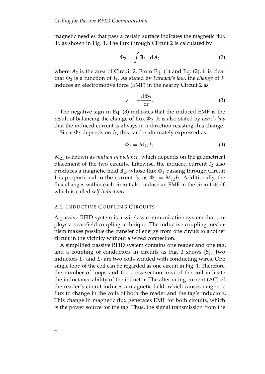magnetic needles that pass a certain surface indicates the magnetic flux Φ, as shown in Fig. [1.](#page-18-1) The flux through Circuit 2 is calculated by

<span id="page-19-1"></span>
$$
\Phi_2 = \int \mathbf{B}_1 \cdot \mathrm{d}A_2 \tag{2}
$$

where  $A_2$  is the area of Circuit 2. From Eq. [\(1\)](#page-18-2) and Eq. [\(2\)](#page-19-1), it is clear that  $\Phi_2$  is a function of  $I_1$ . As stated by *Faraday's law*, the *change* of  $I_1$ induces an electromotive force (EMF) in the nearby Circuit 2 as

<span id="page-19-2"></span>
$$
\varepsilon = -\frac{\mathrm{d}\Phi_2}{\mathrm{d}t}.\tag{3}
$$

The negative sign in Eq. [\(3\)](#page-19-2) indicates that the induced EMF is the result of balancing the change of flux Φ2. It is also stated by *Lenz's law* that the induced current is always in a direction resisting this change.

Since  $\Phi_2$  depends on  $I_1$ , this can be alternately expressed as

$$
\Phi_2 = M_{21} I_1. \tag{4}
$$

*M*<sup>21</sup> is known as *mutual inductance*, which depends on the geometrical placement of the two circuits. Likewise, the induced current *I*<sub>2</sub> also produces a magnetic field  $\mathbf{B}_2$ , whose flux  $\Phi_1$  passing through Circuit 1 is proportional to the current  $I_2$ , as  $\Phi_1 = M_{12}I_2$ . Additionally, the flux changes within each circuit also induce an EMF in the circuit itself, which is called *self-inductance*.

# <span id="page-19-0"></span>2.2 INDUCTIVE COUPLING CIRCUITS

A passive RFID system is a wireless communication system that employs a near-field coupling technique. The inductive coupling mechanism makes possible the transfer of energy from one circuit to another circuit in the vicinity without a wired connection.

A simplified passive RFID system contains one reader and one tag, and a coupling of conductors in circuits as Fig. [2](#page-20-0) shows [\[5\]](#page-54-5). Two inductors *L<sup>r</sup>* and *L<sup>t</sup>* are two coils winded with conducting wires. One single loop of the coil can be regarded as one circuit in Fig. [1.](#page-18-1) Therefore, the number of loops and the cross-section area of the coil indicate the inductance ability of the inductor. The alternating current (AC) of the reader's circuit induces a magnetic field, which causes magnetic flux to change in the coils of both the reader and the tag's inductors. This change in magnetic flux generates EMF for both circuits, which is the power source for the tag. Thus, the signal transmission from the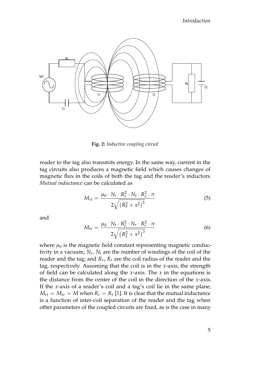<span id="page-20-0"></span>

**Fig. 2:** *Inductive coupling circuit*

reader to the tag also transmits energy. In the same way, current in the tag circuits also produces a magnetic field which causes changes of magnetic flux in the coils of both the tag and the reader's inductors. *Mutual inductance* can be calculated as

$$
M_{rt} = \frac{\mu_0 \cdot N_r \cdot R_r^2 \cdot N_t \cdot R_t^2 \cdot \pi}{2\sqrt{(R_r^2 + x^2)^3}}
$$
(5)

and

$$
M_{tr} = \frac{\mu_0 \cdot N_t \cdot R_t^2 \cdot N_r \cdot R_r^2 \cdot \pi}{2\sqrt{\left(R_t^2 + x^2\right)^3}}
$$
(6)

where  $\mu_0$  is the magnetic field constant representing magnetic conductivity in a vacuum; *N<sup>r</sup>* , *N<sup>t</sup>* are the number of windings of the coil of the reader and the tag; and *R<sup>r</sup>* , *R<sup>t</sup>* are the coil radius of the reader and the tag, respectively. Assuming that the coil is in the *x*-axis, the strength of field can be calculated along the *x*-axis. The *x* in the equations is the distance from the center of the coil in the direction of the *x*-axis. If the *x*-axis of a reader's coil and a tag's coil lie in the same plane,  $M_{rt} = M_{tr} = M$  when  $R_r = R_t$  [\[1\]](#page-54-1). It is clear that the mutual inductance is a function of inter-coil separation of the reader and the tag when other parameters of the coupled circuits are fixed, as is the case in many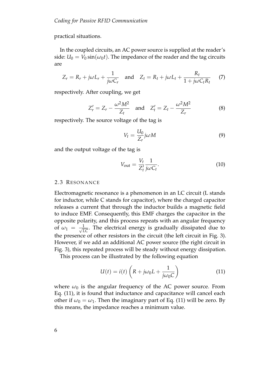practical situations.

In the coupled circuits, an AC power source is supplied at the reader's side:  $U_0 = V_0 \sin(\omega_0 t)$ . The impedance of the reader and the tag circuits are

$$
Z_r = R_r + j\omega L_r + \frac{1}{j\omega C_r} \quad \text{and} \quad Z_t = R_t + j\omega L_t + \frac{R_t}{1 + j\omega C_t R_t} \tag{7}
$$

respectively. After coupling, we get

<span id="page-21-2"></span>
$$
Z'_r = Z_r - \frac{\omega^2 M^2}{Z_t}
$$
 and  $Z'_t = Z_t - \frac{\omega^2 M^2}{Z_r}$  (8)

respectively. The source voltage of the tag is

$$
V_t = \frac{U_0}{Z_r} j\omega M \tag{9}
$$

and the output voltage of the tag is

$$
V_{\text{out}} = \frac{V_t}{Z_t'} \frac{1}{j\omega C_t}.
$$
\n(10)

#### <span id="page-21-0"></span>2.3 RESONANCE

Electromagnetic resonance is a phenomenon in an LC circuit (L stands for inductor, while C stands for capacitor), where the charged capacitor releases a current that through the inductor builds a magnetic field to induce EMF. Consequently, this EMF charges the capacitor in the opposite polarity, and this process repeats with an angular frequency of  $\omega_1 = \frac{1}{\sqrt{LC}}$ . The electrical energy is gradually dissipated due to the presence of other resistors in the circuit (the left circuit in Fig. [3\)](#page-22-1). However, if we add an additional AC power source (the right circuit in Fig. [3\)](#page-22-1), this repeated process will be steady without energy dissipation.

This process can be illustrated by the following equation

<span id="page-21-1"></span>
$$
U(t) = i(t) \left( R + j\omega_0 L + \frac{1}{j\omega_0 C} \right)
$$
 (11)

where  $\omega_0$  is the angular frequency of the AC power source. From Eq. [\(11\)](#page-21-1), it is found that inductance and capacitance will cancel each other if  $\omega_0 = \omega_1$ . Then the imaginary part of Eq. [\(11\)](#page-21-1) will be zero. By this means, the impedance reaches a minimum value.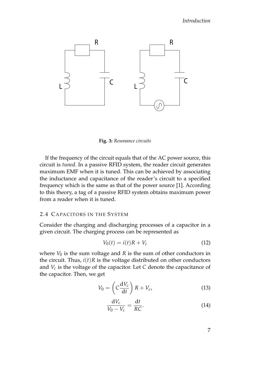<span id="page-22-1"></span>

**Fig. 3:** *Resonance circuits*

If the frequency of the circuit equals that of the AC power source, this circuit is *tuned*. In a passive RFID system, the reader circuit generates maximum EMF when it is tuned. This can be achieved by associating the inductance and capacitance of the reader's circuit to a specified frequency which is the same as that of the power source [\[1\]](#page-54-1). According to this theory, a tag of a passive RFID system obtains maximum power from a reader when it is tuned.

#### <span id="page-22-0"></span>2.4 CAPACITORS IN THE SYSTEM

Consider the charging and discharging processes of a capacitor in a given circuit. The charging process can be represented as

$$
V_0(t) = i(t)R + V_c \tag{12}
$$

where  $V_0$  is the sum voltage and  $R$  is the sum of other conductors in the circuit. Thus,  $i(t)$ *R* is the voltage distributed on other conductors and *V<sup>c</sup>* is the voltage of the capacitor. Let *C* denote the capacitance of the capacitor. Then, we get

$$
V_0 = \left(C\frac{\mathrm{d}V_c}{\mathrm{d}t}\right)R + V_c,\tag{13}
$$

$$
\frac{\mathrm{d}V_c}{V_0 - V_c} = \frac{\mathrm{d}t}{RC}.\tag{14}
$$

7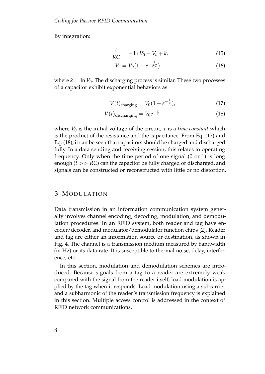By integration:

$$
\frac{t}{RC} = -\ln V_0 - V_c + k,\tag{15}
$$

<span id="page-23-1"></span>
$$
V_c = V_0 (1 - e^{-\frac{t}{RC}})
$$
 (16)

where  $k = \ln V_0$ . The discharging process is similar. These two processes of a capacitor exhibit exponential behaviors as

<span id="page-23-2"></span>
$$
V(t)_{\text{charging}} = V_0 (1 - e^{-\frac{t}{\tau}}), \tag{17}
$$

$$
V(t)_{\text{discharging}} = V_0 e^{-\frac{t}{\tau}} \tag{18}
$$

where  $V_0$  is the initial voltage of the circuit,  $\tau$  is a *time constant* which is the product of the resistance and the capacitance. From Eq. [\(17\)](#page-23-1) and Eq. [\(18\)](#page-23-2), it can be seen that capacitors should be charged and discharged fully. In a data sending and receiving session, this relates to operating frequency. Only when the time period of one signal (0 or 1) is long enough (*t* >> *RC*) can the capacitor be fully charged or discharged, and signals can be constructed or reconstructed with little or no distortion.

# <span id="page-23-0"></span>3 MODULATION

Data transmission in an information communication system generally involves channel encoding, decoding, modulation, and demodulation procedures. In an RFID system, both reader and tag have encoder/decoder, and modulator/demodulator function chips [\[2\]](#page-54-2). Reader and tag are either an information source or destination, as shown in Fig. [4.](#page-24-1) The channel is a transmission medium measured by bandwidth (in Hz) or its data rate. It is susceptible to thermal noise, delay, interference, etc.

In this section, modulation and demodulation schemes are introduced. Because signals from a tag to a reader are extremely weak compared with the signal from the reader itself, load modulation is applied by the tag when it responds. Load modulation using a subcarrier and a subharmonic of the reader's transmission frequency is explained in this section. Multiple access control is addressed in the context of RFID network communications.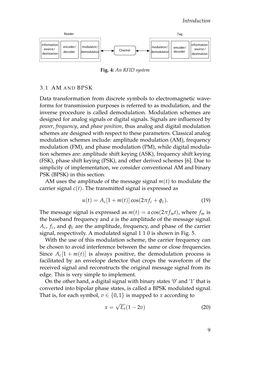<span id="page-24-1"></span>

**Fig. 4:** *An RFID system*

# <span id="page-24-0"></span>3.1 AM AND BPSK

Data transformation from discrete symbols to electromagnetic waveforms for transmission purposes is referred to as modulation, and the inverse procedure is called demodulation. Modulation schemes are designed for analog signals or digital signals. Signals are influenced by *power*, *frequency*, and *phase position*, thus analog and digital modulation schemes are designed with respect to these parameters. Classical analog modulation schemes include: amplitude modulation (AM), frequency modulation (FM), and phase modulation (PM), while digital modulation schemes are: amplitude shift keying (ASK), frequency shift keying (FSK), phase shift keying (PSK), and other derived schemes [\[6\]](#page-54-6). Due to simplicity of implementation, we consider conventional AM and binary PSK (BPSK) in this section.

AM uses the amplitude of the message signal *m*(*t*) to modulate the carrier signal  $c(t)$ . The transmitted signal is expressed as

$$
u(t) = A_c[1 + m(t)]\cos(2\pi f_c + \phi_c).
$$
 (19)

The message signal is expressed as  $m(t) = a \cos(2\pi f_m t)$ , where  $f_m$  is the baseband frequency and *a* is the amplitude of the message signal.  $A_c$ ,  $f_c$ , and  $\phi_c$  are the amplitude, frequency, and phase of the carrier signal, respectively. A modulated signal 1 1 0 is shown in Fig. [5.](#page-25-1)

With the use of this modulation scheme, the carrier frequency can be chosen to avoid interference between the same or close frequencies. Since  $A_c[1 + m(t)]$  is always positive, the demodulation process is facilitated by an envelope detector that crops the waveform of the received signal and reconstructs the original message signal from its edge. This is very simple to implement.

On the other hand, a digital signal with binary states '0' and '1' that is converted into bipolar phase states, is called a BPSK modulated signal. That is, for each symbol,  $v \in \{0,1\}$  is mapped to *x* according to

$$
x = \sqrt{E_s}(1 - 2v) \tag{20}
$$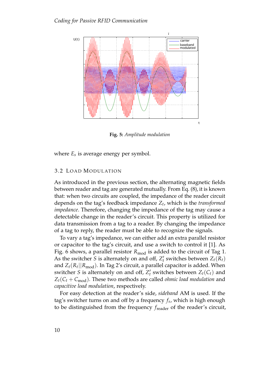<span id="page-25-1"></span>

**Fig. 5:** *Amplitude modulation*

where *E<sup>s</sup>* is average energy per symbol.

#### <span id="page-25-0"></span>3.2 LOAD MODULATION

As introduced in the previous section, the alternating magnetic fields between reader and tag are generated mutually. From Eq. [\(8\)](#page-21-2), it is known that: when two circuits are coupled, the impedance of the reader circuit depends on the tag's feedback impedance *Z<sup>t</sup>* , which is the *transformed impedance*. Therefore, changing the impedance of the tag may cause a detectable change in the reader's circuit. This property is utilized for data transmission from a tag to a reader. By changing the impedance of a tag to reply, the reader must be able to recognize the signals.

To vary a tag's impedance, we can either add an extra parallel resistor or capacitor to the tag's circuit, and use a switch to control it [\[1\]](#page-54-1). As Fig. [6](#page-26-1) shows, a parallel resistor R<sub>mod</sub> is added to the circuit of Tag 1. As the switcher *S* is alternately on and off,  $Z'_t$  switches between  $Z_t(R_t)$ and  $Z_t(R_t||R_{\text{mod}})$ . In Tag 2's circuit, a parallel capacitor is added. When switcher *S* is alternately on and off,  $Z'_t$  switches between  $Z_t(C_t)$  and  $Z_t(C_t + C_{\text{mod}})$ . These two methods are called *ohmic load modulation* and *capacitive load modulation*, respectively.

For easy detection at the reader's side, *sideband* AM is used. If the tag's switcher turns on and off by a frequency *f<sup>s</sup>* , which is high enough to be distinguished from the frequency  $f_{\text{reader}}$  of the reader's circuit,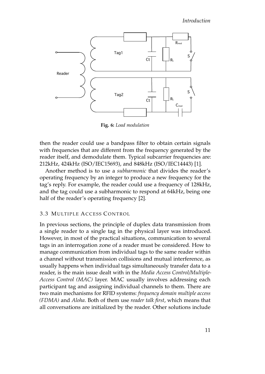<span id="page-26-1"></span>

**Fig. 6:** *Load modulation*

then the reader could use a bandpass filter to obtain certain signals with frequencies that are different from the frequency generated by the reader itself, and demodulate them. Typical subcarrier frequencies are: 212kHz, 424kHz (ISO/IEC15693), and 848kHz (ISO/IEC14443) [\[1\]](#page-54-1).

Another method is to use a *subharmonic* that divides the reader's operating frequency by an integer to produce a new frequency for the tag's reply. For example, the reader could use a frequency of 128kHz, and the tag could use a subharmonic to respond at 64kHz, being one half of the reader's operating frequency [\[2\]](#page-54-2).

# <span id="page-26-0"></span>3.3 MULTIPLE ACCESS CONTROL

In previous sections, the principle of duplex data transmission from a single reader to a single tag in the physical layer was introduced. However, in most of the practical situations, communication to several tags in an interrogation zone of a reader must be considered. How to manage communication from individual tags to the same reader within a channel without transmission collisions and mutual interference, as usually happens when individual tags simultaneously transfer data to a reader, is the main issue dealt with in the *Media Access Control/Multiple-Access Control (MAC)* layer. MAC usually involves addressing each participant tag and assigning individual channels to them. There are two main mechanisms for RFID systems: *frequency domain multiple access (FDMA)* and *Aloha*. Both of them use *reader talk first*, which means that all conversations are initialized by the reader. Other solutions include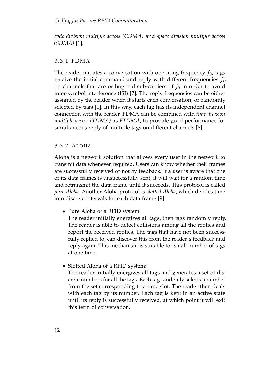# *Coding for Passive RFID Communication*

*code division multiple access (CDMA)* and *space division multiple access (SDMA)* [\[1\]](#page-54-1).

# <span id="page-27-0"></span>3. 3. 1 FDMA

The reader initiates a conversation with operating frequency  $f_0$ ; tags receive the initial command and reply with different frequencies *f<sup>i</sup>* , on channels that are orthogonal sub-carriers of  $f_0$  in order to avoid inter-symbol interference (ISI) [\[7\]](#page-54-7). The reply frequencies can be either assigned by the reader when it starts each conversation, or randomly selected by tags [\[1\]](#page-54-1). In this way, each tag has its independent channel connection with the reader. FDMA can be combined with *time division multiple access (TDMA)* as *FTDMA*, to provide good performance for simultaneous reply of multiple tags on different channels [\[8\]](#page-54-8).

# <span id="page-27-1"></span>3. 3. 2 AL OH A

Aloha is a network solution that allows every user in the network to transmit data whenever required. Users can know whether their frames are successfully received or not by feedback. If a user is aware that one of its data frames is unsuccessfully sent, it will wait for a random time and retransmit the data frame until it succeeds. This protocol is called *pure Aloha*. Another Aloha protocol is *slotted Aloha*, which divides time into discrete intervals for each data frame [\[9\]](#page-55-0).

• Pure Aloha of a RFID system:

The reader initially energizes all tags, then tags randomly reply. The reader is able to detect collisions among all the replies and report the received replies. The tags that have not been successfully replied to, can discover this from the reader's feedback and reply again. This mechanism is suitable for small number of tags at one time.

• Slotted Aloha of a RFID system:

The reader initially energizes all tags and generates a set of discrete numbers for all the tags. Each tag randomly selects a number from the set corresponding to a time slot. The reader then deals with each tag by its number. Each tag is kept in an active state until its reply is successfully received, at which point it will exit this term of conversation.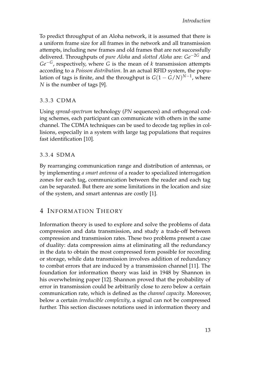To predict throughput of an Aloha network, it is assumed that there is a uniform frame size for all frames in the network and all transmission attempts, including new frames and old frames that are not successfully delivered. Throughputs of *pure Aloha* and *slotted Aloha* are: *Ge*−2*<sup>G</sup>* and *Ge*−*G*, respectively, where *G* is the mean of *k* transmission attempts according to a *Poisson distribution*. In an actual RFID system, the population of tags is finite, and the throughput is  $G(1 - G/N)^{N-1}$ , where *N* is the number of tags [\[9\]](#page-55-0).

# <span id="page-28-0"></span>3. 3. 3 CDMA

Using *spread-spectrum* technology (*PN* sequences) and orthogonal coding schemes, each participant can communicate with others in the same channel. The CDMA techniques can be used to decode tag replies in collisions, especially in a system with large tag populations that requires fast identification [\[10\]](#page-55-1).

# <span id="page-28-1"></span>3. 3. 4 SDMA

By rearranging communication range and distribution of antennas, or by implementing *a smart antenna* of a reader to specialized interrogation zones for each tag, communication between the reader and each tag can be separated. But there are some limitations in the location and size of the system, and smart antennas are costly [\[1\]](#page-54-1).

# <span id="page-28-2"></span>4 INFORMATION THEORY

Information theory is used to explore and solve the problems of data compression and data transmission, and study a trade-off between compression and transmission rates. These two problems present a case of duality: data compression aims at eliminating all the redundancy in the data to obtain the most compressed form possible for recording or storage, while data transmission involves addition of redundancy to combat errors that are induced by a transmission channel [\[11\]](#page-55-2). The foundation for information theory was laid in 1948 by Shannon in his overwhelming paper [\[12\]](#page-55-3). Shannon proved that the probability of error in transmission could be arbitrarily close to zero below a certain communication rate, which is defined as the *channel capacity*. Moreover, below a certain *irreducible complexity*, a signal can not be compressed further. This section discusses notations used in information theory and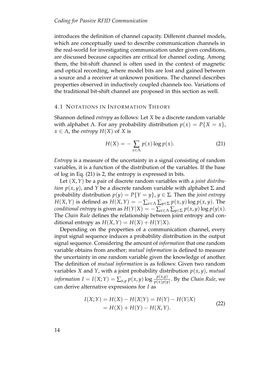introduces the definition of channel capacity. Different channel models, which are conceptually used to describe communication channels in the real-world for investigating communication under given conditions, are discussed because capacities are critical for channel coding. Among them, the bit-shift channel is often used in the context of magnetic and optical recording, where model bits are lost and gained between a source and a receiver at unknown positions. The channel describes properties observed in inductively coupled channels too. Variations of the traditional bit-shift channel are proposed in this section as well.

#### <span id="page-29-0"></span>4.1 NOTATIONS IN INFORMATION THEORY

Shannon defined *entropy* as follows: Let *X* be a discrete random variable with alphabet Λ. For any probability distribution  $p(x) = P{X = x}$ ,  $x \in \Lambda$ , the *entropy*  $H(X)$  of *X* is

<span id="page-29-1"></span>
$$
H(X) = -\sum_{x \in \Lambda} p(x) \log p(x). \tag{21}
$$

*Entropy* is a measure of the uncertainty in a signal consisting of random variables, it is a function of the distribution of the variables. If the base of log in Eq. [\(21\)](#page-29-1) is 2, the entropy is expressed in bits.

Let (*X*,*Y*) be a pair of discrete random variables with a *joint distribution*  $p(x, y)$ , and *Y* be a discrete random variable with alphabet  $\Sigma$  and probability distribution  $p(y) = P{Y = y}$ ,  $y \in \Sigma$ . Then the *joint entropy H*(*X*, *Y*) is defined as *H*(*X*, *Y*) =  $-\sum_{x \in \Lambda} \sum_{y \in \Sigma} p(x, y) \log p(x, y)$ . The *conditional entropy* is given as  $H(Y|X) = -\sum_{x \in \Lambda} \sum_{y \in \Sigma} p(x, y) \log p(y|x)$ . The *Chain Rule* defines the relationship between joint entropy and conditional entropy as  $H(X, Y) = H(X) + H(Y|X)$ .

Depending on the properties of a communication channel, every input signal sequence induces a probability distribution in the output signal sequence. Considering the amount of *information* that one random variable obtains from another; *mutual information* is defined to measure the uncertainty in one random variable given the knowledge of another. The definition of *mutual information* is as follows: Given two random variables *X* and *Y*, with a joint probability distribution  $p(x, y)$ , mutual *information*  $I = I(X;Y) = \sum_{x,y} p(x,y) \log \frac{p(x,y)}{p(x)p(y)}$ . By the *Chain Rule*, we can derive alternative expressions for *I* as

$$
I(X;Y) = H(X) - H(X|Y) = H(Y) - H(Y|X)
$$
  
= H(X) + H(Y) - H(X,Y). (22)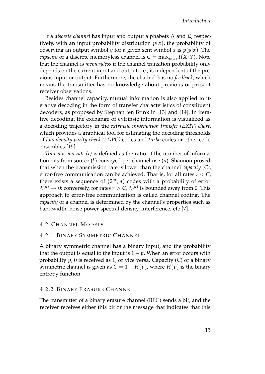If a *discrete channel* has input and output alphabets Λ and Σ, respectively, with an input probability distribution  $p(x)$ , the probability of observing an output symbol *y* for a given sent symbol *x* is  $p(y|x)$ . The *capacity* of a discrete memoryless channel is  $C = \max_{p(x)} I(X;Y)$ . Note that the channel is *memoryless* if the channel transition probability only depends on the current input and output, i.e., is independent of the previous input or output. Furthermore, the channel has no *feedback*, which means the transmitter has no knowledge about previous or present receiver observations.

Besides channel capacity, mutual information is also applied to iterative decoding in the form of transfer characteristics of constituent decoders, as proposed by Stephan ten Brink in [\[13\]](#page-55-4) and [\[14\]](#page-55-5). In iterative decoding, the exchange of extrinsic information is visualized as a decoding trajectory in the *extrinsic information transfer (EXIT) chart*, which provides a graphical tool for estimating the decoding thresholds of *low-density parity check (LDPC)* codes and *turbo* codes or other code ensembles [\[15\]](#page-55-6).

*Transmission rate (r)* is defined as the ratio of the number of information bits from source (*k*) conveyed per channel use (*n*). Shannon proved that when the transmission rate is lower than the channel *capacity (C)*, error-free communication can be achieved. That is, for all rates *r* < *C*, there exists a sequence of  $(2^{nr}, n)$  codes with a probability of error  $\lambda^{(n)} \to 0$ ; conversely, for rates  $r > C$ ,  $\lambda^{(n)}$  is bounded away from 0. This approach to error-free communication is called channel coding. The *capacity* of a channel is determined by the channel's properties such as bandwidth, noise power spectral density, interference, etc [\[7\]](#page-54-7).

<span id="page-30-0"></span>4.2 CHANNEL MODELS

# <span id="page-30-1"></span>4.2.1 BINARY SYMMETRIC CHANNEL

A binary symmetric channel has a binary input, and the probability that the output is equal to the input is  $1 - p$ . When an error occurs with probability *p*, 0 is received as 1, or vice versa. Capacity (C) of a binary symmetric channel is given as  $C = 1 - H(p)$ , where  $H(p)$  is the binary entropy function.

# <span id="page-30-2"></span>4. 2. 2 BINARY ERASURE CHANNEL

The transmitter of a binary erasure channel (BEC) sends a bit, and the receiver receives either this bit or the message that indicates that this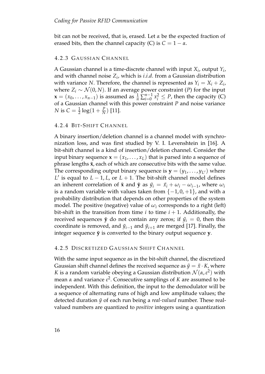bit can not be received, that is, erased. Let *α* be the expected fraction of erased bits, then the channel capacity (C) is  $C = 1 - \alpha$ .

# <span id="page-31-0"></span>4.2.3 GAUSSIAN CHANNEL

A Gaussian channel is a time-discrete channel with input *X<sup>i</sup>* , output *Y<sup>i</sup>* , and with channel noise *Z<sup>i</sup>* , which is *i*.*i*.*d*. from a Gaussian distribution with variance N. Therefore, the channel is represented as  $Y_i = X_i + Z_i$ , where  $Z_i \sim \mathcal{N}(0, N)$ . If an average power constraint (*P*) for the input  $\mathbf{x} = (x_0, \dots, x_{n-1})$  is assumed as  $\frac{1}{n} \sum_{i=0}^{n-1} x_i^2 \leq P$ , then the capacity (C) of a Gaussian channel with this power constraint *P* and noise variance *N* is  $C = \frac{1}{2} \log(1 + \frac{P}{N})$  [\[11\]](#page-55-2).

# <span id="page-31-1"></span>4.2.4 BIT-SHIFT CHANNEL

A binary insertion/deletion channel is a channel model with synchronization loss, and was first studied by V. I. Levenshtein in [\[16\]](#page-55-7). A bit-shift channel is a kind of insertion/deletion channel. Consider the input binary sequence  $\mathbf{x} = (x_1, \dots, x_L)$  that is parsed into a sequence of phrase lengths  $\tilde{x}$ , each of which are consecutive bits with the same value. The corresponding output binary sequence is  $\mathbf{y} = (y_1, \ldots, y_{L'})$  where *L*<sup> $′$ </sup> is equal to *L* − 1, *L*, or *L* + 1. The bit-shift channel model defines an inherent correlation of  $\tilde{\mathbf{x}}$  and  $\tilde{\mathbf{y}}$  as  $\tilde{y}_i = \tilde{x}_i + \omega_i - \omega_{i-1}$ , where  $\omega_i$ is a random variable with values taken from  $\{-1,0,+1\}$ , and with a probability distribution that depends on other properties of the system model. The positive (negative) value of  $\omega_i$  corresponds to a right (left) bit-shift in the transition from time  $i$  to time  $i + 1$ . Additionally, the received sequences  $\tilde{y}$  do not contain any zeros; if  $\tilde{y}_i = 0$ , then this coordinate is removed, and  $\tilde{y}_{i-1}$  and  $\tilde{y}_{i+1}$  are merged [\[17\]](#page-55-8). Finally, the integer sequence  $\tilde{y}$  is converted to the binary output sequence  $y$ .

# <span id="page-31-2"></span>4.2.5 DISCRETIZED GAUSSIAN SHIFT CHANNEL

With the same input sequence as in the bit-shift channel, the discretized Gaussian shift channel defines the received sequence as  $\tilde{y} = \tilde{x} \cdot K$ , where *K* is a random variable obeying a Gaussian distribution  $\mathcal{N}(\alpha, \varepsilon^2)$  with mean *α* and variance *ε* 2 . Consecutive samplings of *K* are assumed to be independent. With this definition, the input to the demodulator will be a sequence of alternating runs of high and low amplitude values; the detected duration  $\tilde{y}$  of each run being a *real-valued* number. These realvalued numbers are quantized to *positive* integers using a quantization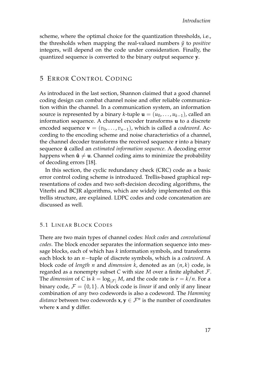scheme, where the optimal choice for the quantization thresholds, i.e., the thresholds when mapping the real-valued numbers  $\tilde{y}$  to *positive* integers, will depend on the code under consideration. Finally, the quantized sequence is converted to the binary output sequence **y**.

# <span id="page-32-0"></span>5 ERROR CONTROL CODING

As introduced in the last section, Shannon claimed that a good channel coding design can combat channel noise and offer reliable communication within the channel. In a communication system, an information source is represented by a binary *k*-tuple  $\mathbf{u} = (u_0, \dots, u_{k-1})$ , called an information sequence. A channel encoder transforms **u** to a discrete encoded sequence  $\mathbf{v} = (v_0, \dots, v_{n-1})$ , which is called a *codeword*. According to the encoding scheme and noise characteristics of a channel, the channel decoder transforms the received sequence **r** into a binary sequence **û** called an *estimated information sequence*. A decoding error happens when  $\hat{\mathbf{u}} \neq \mathbf{u}$ . Channel coding aims to minimize the probability of decoding errors [\[18\]](#page-55-9).

In this section, the cyclic redundancy check (CRC) code as a basic error control coding scheme is introduced. Trellis-based graphical representations of codes and two soft-decision decoding algorithms, the Viterbi and BCJR algorithms, which are widely implemented on this trellis structure, are explained. LDPC codes and code concatenation are discussed as well.

# <span id="page-32-1"></span>**5.1 LINEAR BLOCK CODES**

There are two main types of channel codes: *block codes* and *convolutional codes*. The block encoder separates the information sequence into message blocks, each of which has *k* information symbols, and transforms each block to an *n*−tuple of discrete symbols, which is a *codeword*. A block code of *length n* and *dimension k*, denoted as an (*n*, *k*) code, is regarded as a nonempty subset *C* with size *M* over a finite alphabet F. The *dimension* of *C* is  $k = \log_{\vert \mathcal{F} \vert} M$ , and the code rate is  $r = k/n$ . For a binary code,  $\mathcal{F} = \{0, 1\}$ . A block code is *linear* if and only if any linear combination of any two codewords is also a codeword. The *Hamming distance* between two codewords  $\mathbf{x}, \mathbf{y} \in \mathcal{F}^n$  is the number of coordinates where **x** and **y** differ.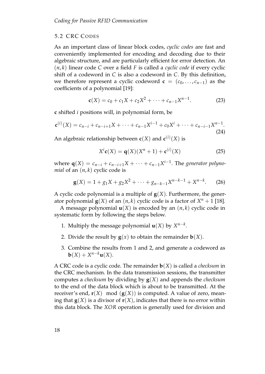# <span id="page-33-0"></span>5.2 CRC CODES

As an important class of linear block codes, *cyclic codes* are fast and conveniently implemented for encoding and decoding due to their algebraic structure, and are particularly efficient for error detection. An (*n*, *k*) linear code *C* over a field *F* is called a *cyclic code* if every cyclic shift of a codeword in *C* is also a codeword in *C*. By this definition, we therefore represent a cyclic codeword  $\mathbf{c} = (c_0, \dots, c_{n-1})$  as the coefficients of a polynomial [\[19\]](#page-55-10):

$$
\mathbf{c}(X) = c_0 + c_1 X + c_2 X^2 + \dots + c_{n-1} X^{n-1}.
$$
 (23)

**c** shifted *i* positions will, in polynomial form, be

$$
\mathbf{c}^{(i)}(X) = c_{n-i} + c_{n-i+1}X + \dots + c_{n-1}X^{i-1} + c_0X^i + \dots + c_{n-i-1}X^{n-1}.
$$
\n(24)

An algebraic relationship between  $c(X)$  and  $c^{(i)}(X)$  is

$$
Xic(X) = q(X)(Xn + 1) + c(i)(X)
$$
 (25)

where  $q(X) = c_{n-i} + c_{n-i+1}X + \cdots + c_{n-1}X^{i-1}$ . The *generator polynomial* of an  $(n, k)$  cyclic code is

$$
\mathbf{g}(X) = 1 + g_1 X + g_2 X^2 + \dots + g_{n-k-1} X^{n-k-1} + X^{n-k}.
$$
 (26)

A cyclic code polynomial is a multiple of  $g(X)$ . Furthermore, the generator polynomial  $\mathbf{g}(X)$  of an  $(n, k)$  cyclic code is a factor of  $X^n + 1$  [\[18\]](#page-55-9).

A message polynomial  $\mathbf{u}(X)$  is encoded by an  $(n, k)$  cyclic code in systematic form by following the steps below.

- 1. Multiply the message polynomial  $\mathbf{u}(X)$  by  $X^{n-k}$ .
- 2. Divide the result by  $g(x)$  to obtain the remainder  $b(X)$ .
- 3. Combine the results from 1 and 2, and generate a codeword as  $\mathbf{b}(X) + X^{n-k}\mathbf{u}(X).$

A CRC code is a cyclic code. The remainder **b**(*X*) is called a *checksum* in the CRC mechanism. In the data transmission sessions, the transmitter computes a *checksum* by dividing by **g**(*X*) and appends the *checksum* to the end of the data block which is about to be transmitted. At the receiver's end,  $\mathbf{r}(X)$  mod  $(\mathbf{g}(X))$  is computed. A value of zero, meaning that  $\mathbf{g}(X)$  is a divisor of  $\mathbf{r}(X)$ , indicates that there is no error within this data block. The *XOR* operation is generally used for division and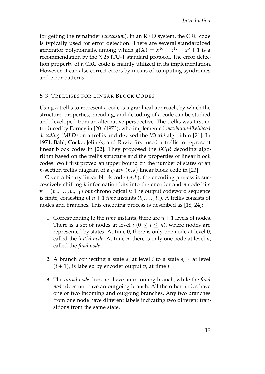for getting the remainder (*checksum*). In an RFID system, the CRC code is typically used for error detection. There are several standardized generator polynomials, among which  $\mathbf{g}(X) = x^{16} + x^{12} + x^5 + 1$  is a recommendation by the X.25 ITU-T standard protocol. The error detection property of a CRC code is mainly utilized in its implementation. However, it can also correct errors by means of computing syndromes and error patterns.

# <span id="page-34-0"></span>5.3 TRELLISES FOR LINEAR BLOCK CODES

Using a trellis to represent a code is a graphical approach, by which the structure, properties, encoding, and decoding of a code can be studied and developed from an alternative perspective. The trellis was first introduced by Forney in [\[20\]](#page-55-11) (1973), who implemented *maximum-likelihood decoding (MLD)* on a trellis and devised the *Viterbi* algorithm [\[21\]](#page-55-12). In 1974, Bahl, Cocke, Jelinek, and Raviv first used a trellis to represent linear block codes in [\[22\]](#page-56-0). They proposed the *BCJR* decoding algorithm based on the trellis structure and the properties of linear block codes. Wolf first proved an upper bound on the number of states of an *n*-section trellis diagram of a *q*-ary (*n*, *k*) linear block code in [\[23\]](#page-56-1).

Given a binary linear block code  $(n, k)$ , the encoding process is successively shifting *k* information bits into the encoder and *n* code bits  **out chronologically. The output codeword sequence** is finite, consisting of  $n + 1$  *time* instants  $(t_0, \ldots, t_n)$ . A trellis consists of nodes and branches. This encoding process is described as [\[18,](#page-55-9) [24\]](#page-56-2):

- 1. Corresponding to the *time* instants, there are  $n + 1$  levels of nodes. There is a set of nodes at level  $i$  ( $0 \le i \le n$ ), where nodes are represented by states. At time 0, there is only one node at level 0, called the *initial node*. At time *n*, there is only one node at level *n*, called the *final node*.
- 2. A branch connecting a state  $s_i$  at level *i* to a state  $s_{i+1}$  at level  $(i + 1)$ , is labeled by encoder output  $v_i$  at time *i*.
- 3. The *initial node* does not have an incoming branch, while the *final node* does not have an outgoing branch. All the other nodes have one or two incoming and outgoing branches. Any two branches from one node have different labels indicating two different transitions from the same state.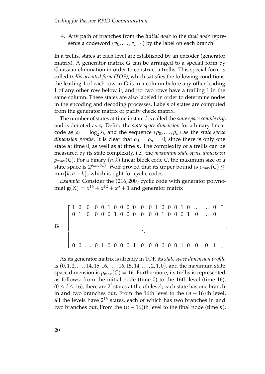4. Any path of branches from the *initial node* to the *final node* represents a codeword  $(v_0, \ldots, v_{n-1})$  by the label on each branch.

In a trellis, states at each level are established by an encoder (generator matrix). A generator matrix **G** can be arranged to a special form by Gaussian elimination in order to construct a trellis. This special form is called *trellis oriented form (TOF)*, which satisfies the following conditions: the leading 1 of each row in **G** is in a column before any other leading 1 of any other row below it; and no two rows have a trailing 1 in the same column. These states are also labeled in order to determine nodes in the encoding and decoding processes. Labels of states are computed from the generator matrix or parity check matrix.

The number of states at time instant *i* is called the *state space complexity*, and is denoted as *s<sup>i</sup>* . Define the *state space dimension* for a binary linear code as  $\rho_i = \log_2 s_i$ , and the sequence  $(\rho_0, \ldots, \rho_n)$  as the *state space dimension profile*. It is clear that  $\rho_0 = \rho_n = 0$ , since there is only one state at time 0, as well as at time *n*. The complexity of a trellis can be measured by its state complexity, i.e., the *maximum state space dimension*  $\rho_{\text{max}}(C)$ . For a binary  $(n, k)$  linear block code *C*, the maximum size of a state space is  $2^{\rho_{\text{max}}(C)}$ . Wolf proved that its upper bound is  $\rho_{\text{max}}(C) \le$  $\min\{k, n-k\}$ , which is tight for cyclic codes.

*Example*: Consider the (216, 200) cyclic code with generator polynomial  $\mathbf{g}(X) = x^{16} + x^{12} + x^5 + 1$  and generator matrix

$$
\mathbf{G} = \left[ \begin{array}{cccccccccccc} 1 & 0 & 0 & 0 & 0 & 1 & 0 & 0 & 0 & 0 & 0 & 0 & 1 & 0 & 0 & 0 & 1 & 0 & \dots & \dots & 0 \\ 0 & 1 & 0 & 0 & 0 & 0 & 1 & 0 & 0 & 0 & 0 & 0 & 1 & 0 & 0 & 0 & 1 & 0 & \dots & 0 \\ & & & & & & & & & & & & \\ & & & & & & & & & & & & \\ 0 & 0 & \dots & 0 & 1 & 0 & 0 & 0 & 0 & 1 & 0 & 0 & 0 & 0 & 0 & 1 & 0 & 0 & 0 & 1 \end{array} \right]
$$

.

As its generator matrix is already in TOF, its *state space dimension profile* is  $(0, 1, 2, \ldots, 14, 15, 16, \ldots, 16, 15, 14, \ldots, 2, 1, 0)$ , and the maximum state space dimension is  $\rho_{\text{max}}(C) = 16$ . Furthermore, its trellis is represented as follows: from the initial node (time 0) to the 16th level (time 16),  $(0 \le i \le 16)$ , there are  $2^i$  states at the *i*th level; each state has one branch in and two branches out. From the 16th level to the  $(n - 16)$ th level, all the levels have  $2^{16}$  states, each of which has two branches in and two branches out. From the  $(n - 16)$ th level to the final node (time *n*),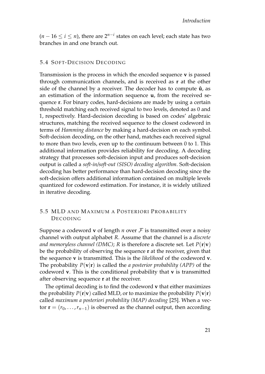(*<sup>n</sup>* <sup>−</sup> <sup>16</sup> <sup>≤</sup> *<sup>i</sup>* <sup>≤</sup> *<sup>n</sup>*), there are 2*n*−*<sup>i</sup>* states on each level; each state has two branches in and one branch out.

# <span id="page-36-0"></span>5.4 SOFT-DECISION DECODING

Transmission is the process in which the encoded sequence **v** is passed through communication channels, and is received as **r** at the other side of the channel by a receiver. The decoder has to compute  $\hat{u}$ , as an estimation of the information sequence **u**, from the received sequence **r**. For binary codes, hard-decisions are made by using a certain threshold matching each received signal to two levels, denoted as 0 and 1, respectively. Hard-decision decoding is based on codes' algebraic structures, matching the received sequence to the closest codeword in terms of *Hamming distance* by making a hard-decision on each symbol. Soft-decision decoding, on the other hand, matches each received signal to more than two levels, even up to the continuum between 0 to 1. This additional information provides reliability for decoding. A decoding strategy that processes soft-decision input and produces soft-decision output is called a *soft-in/soft-out (SISO) decoding algorithm*. Soft-decision decoding has better performance than hard-decision decoding since the soft-decision offers additional information contained on multiple levels quantized for codeword estimation. For instance, it is widely utilized in iterative decoding.

# <span id="page-36-1"></span>5.5 MLD AND MAXIMUM A POSTERIORI PROBABILITY **DECODING**

Suppose a codeword **v** of length *n* over  $\mathcal F$  is transmitted over a noisy channel with output alphabet *R*. Assume that the channel is a *discrete and memoryless channel (DMC)*; *R* is therefore a discrete set. Let *P*(**r**|**v**) be the probability of observing the sequence **r** at the receiver, given that the sequence **v** is transmitted. This is the *likelihood* of the codeword **v**. The probability  $P(\mathbf{v}|\mathbf{r})$  is called the *a posterior probability (APP)* of the codeword **v**. This is the conditional probability that **v** is transmitted after observing sequence **r** at the receiver.

The optimal decoding is to find the codeword **v** that either maximizes the probability  $P(\mathbf{r}|\mathbf{v})$  called MLD, or to maximize the probability  $P(\mathbf{v}|\mathbf{r})$ called *maximum a posteriori probability (MAP) decoding* [\[25\]](#page-56-3). When a vector  $\mathbf{r} = (r_0, \ldots, r_{n-1})$  is observed as the channel output, then according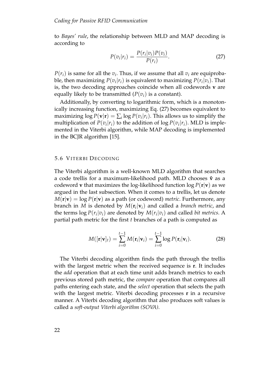to *Bayes' rule*, the relationship between MLD and MAP decoding is according to

<span id="page-37-1"></span>
$$
P(v_i|r_i) = \frac{P(r_i|v_i)P(v_i)}{P(r_i)}.
$$
\n(27)

 $P(r_i)$  is same for all the  $v_i$ . Thus, if we assume that all  $v_i$  are equiprobable, then maximizing  $P(v_i|r_i)$  is equivalent to maximizing  $P(r_i|v_i)$ . That is, the two decoding approaches coincide when all codewords **v** are equally likely to be transmitted  $(P(v_i))$  is a constant).

Additionally, by converting to logarithmic form, which is a monotonically increasing function, maximizing Eq. [\(27\)](#page-37-1) becomes equivalent to maximizing  $\log P(\mathbf{v}|\mathbf{r}) = \sum_i \log P(v_i|r_i)$ . This allows us to simplify the multiplication of  $P(v_i | r_i)$  to the addition of log  $P(v_i | r_i)$ . MLD is implemented in the Viterbi algorithm, while MAP decoding is implemented in the BCJR algorithm [\[15\]](#page-55-6).

# <span id="page-37-0"></span>5.6 VITERBI DECODING

The Viterbi algorithm is a well-known MLD algorithm that searches a code trellis for a maximum-likelihood path. MLD chooses **ˆv** as a codeword **v** that maximizes the log-likelihood function  $\log P(\mathbf{r}|\mathbf{v})$  as we argued in the last subsection. When it comes to a trellis, let us denote  $M(r|\mathbf{v}) = \log P(r|\mathbf{v})$  as a path (or codeword) *metric*. Furthermore, any branch in *M* is denoted by  $M(\mathbf{r}_i|\mathbf{v}_i)$  and called a *branch metric*, and the terms  $\log P(r_i|v_i)$  are denoted by  $M(r_i|v_i)$  and called *bit metrics*. A partial path metric for the first *t* branches of a path is computed as

$$
M([\mathbf{r}|\mathbf{v}]_t) = \sum_{i=0}^{t-1} M(\mathbf{r}_i|\mathbf{v}_i) = \sum_{i=0}^{t-1} \log P(\mathbf{r}_i|\mathbf{v}_i).
$$
 (28)

The Viterbi decoding algorithm finds the path through the trellis with the largest metric when the received sequence is **r**. It includes the *add* operation that at each time unit adds branch metrics to each previous stored path metric, the *compare* operation that compares all paths entering each state, and the *select* operation that selects the path with the largest metric. Viterbi decoding processes **r** in a recursive manner. A Viterbi decoding algorithm that also produces soft values is called a *soft-output Viterbi algorithm (SOVA)*.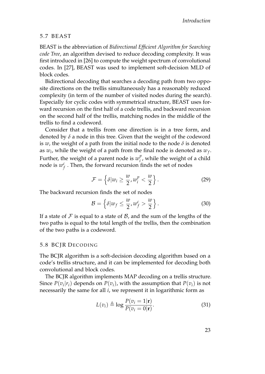#### <span id="page-38-0"></span>5. 7 BEA ST

BEAST is the abbreviation of *Bidirectional Efficient Algorithm for Searching code Tree*, an algorithm devised to reduce decoding complexity. It was first introduced in [\[26\]](#page-56-4) to compute the weight spectrum of convolutional codes. In [\[27\]](#page-56-5), BEAST was used to implement soft-decision MLD of block codes.

Bidirectional decoding that searches a decoding path from two opposite directions on the trellis simultaneously has a reasonably reduced complexity (in term of the number of visited nodes during the search). Especially for cyclic codes with symmetrical structure, BEAST uses forward recursion on the first half of a code trellis, and backward recursion on the second half of the trellis, matching nodes in the middle of the trellis to find a codeword.

Consider that a trellis from one direction is in a tree form, and denoted by *δ* a node in this tree. Given that the weight of the codeword is  $w$ , the weight of a path from the initial node to the node  $\delta$  is denoted as  $w_i$ , while the weight of a path from the final node is denoted as  $w_f$ . Further, the weight of a parent node is  $w_i^p$  $\int_{i}^{p}$ , while the weight of a child node is  $w_f^c$  . Then, the forward recursion finds the set of nodes

$$
\mathcal{F} = \left\{ \delta | w_i \geq \frac{w}{2}, w_i^p < \frac{w}{2} \right\}. \tag{29}
$$

The backward recursion finds the set of nodes

$$
\mathcal{B} = \left\{ \delta | w_f \leq \frac{w}{2}, w_f^c > \frac{w}{2} \right\}.
$$
 (30)

If a state of  $\mathcal F$  is equal to a state of  $\mathcal B$ , and the sum of the lengths of the two paths is equal to the total length of the trellis, then the combination of the two paths is a codeword.

#### <span id="page-38-1"></span>5.8 BCIR DECODING

The BCJR algorithm is a soft-decision decoding algorithm based on a code's trellis structure, and it can be implemented for decoding both convolutional and block codes.

The BCJR algorithm implements MAP decoding on a trellis structure. Since  $P(v_i | r_i)$  depends on  $P(v_i)$ , with the assumption that  $P(v_i)$  is not necessarily the same for all *i*, we represent it in logarithmic form as

$$
L(v_i) \triangleq \log \frac{P(v_i = 1|\mathbf{r})}{P(v_i = 0|\mathbf{r})}.
$$
\n(31)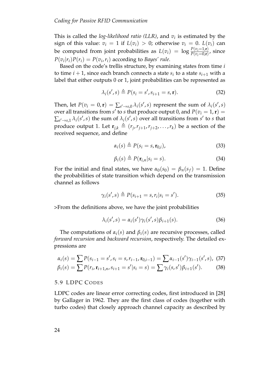This is called the *log-likelihood ratio (LLR)*, and *v<sup>i</sup>* is estimated by the sign of this value:  $v_i = 1$  if  $L(v_i) > 0$ ; otherwise  $v_i = 0$ .  $L(v_i)$  can be computed from joint probabilities as  $L(v_i) = \log \frac{P(v_i=1,r)}{P(v_i=0,r)}$ , since  $P(v_i|r_i)P(r_i) = P(v_i, r_i)$  according to *Bayes' rule*.

Based on the code's trellis structure, by examining states from time *i* to time  $i + 1$ , since each branch connects a state  $s_i$  to a state  $s_{i+1}$  with a label that either outputs 0 or 1, joint probabilities can be represented as

$$
\lambda_i(s',s) \triangleq P(s_i = s', s_{i+1} = s, \mathbf{r}). \tag{32}
$$

Then, let  $P(v_i = 0, \mathbf{r}) = \sum_{s' \to s,0} \lambda_i(s', s)$  represent the sum of  $\lambda_i(s', s)$ over all transitions from  $s'$  to  $s$  that produce output 0, and  $P(v_i = 1, r) =$  $\sum_{s' \to s,1} \lambda_i(s',s)$  the sum of  $\lambda_i(s',s)$  over all transitions from *s'* to *s* that produce output 1. Let  $\mathbf{r}_{j,k} \triangleq (r_j, r_{j+1}, r_{j+2}, \ldots, r_k)$  be a section of the received sequence, and define

$$
\alpha_i(s) \triangleq P(s_i = s, \mathbf{r}_{0,i}), \tag{33}
$$

$$
\beta_i(s) \triangleq P(\mathbf{r}_{i,n}|s_i = s). \tag{34}
$$

For the initial and final states, we have  $\alpha_0(s_0) = \beta_n(s_f) = 1$ . Define the probabilities of state transition which depend on the transmission channel as follows

$$
\gamma_i(s',s) \triangleq P(s_{i+1} = s, r_i | s_i = s'). \tag{35}
$$

>From the definitions above, we have the joint probabilities

$$
\lambda_i(s',s) = \alpha_i(s')\gamma_i(s',s)\beta_{i+1}(s). \tag{36}
$$

The computations of  $\alpha_i(s)$  and  $\beta_i(s)$  are recursive processes, called *forward recursion* and *backward recursion*, respectively. The detailed expressions are

$$
\alpha_i(s) = \sum P(s_{i-1} = s', s_i = s, r_{i-1}, \mathbf{r}_{0,i-1}) = \sum \alpha_{i-1}(s') \gamma_{i-1}(s', s), \tag{37}
$$

$$
\beta_i(s) = \sum P(r_i, \mathbf{r}_{i+1,n}, s_{i+1} = s' | s_i = s) = \sum \gamma_i(s, s') \beta_{i+1}(s'). \tag{38}
$$

## <span id="page-39-0"></span>5.9 LDPC CODES

LDPC codes are linear error correcting codes, first introduced in [\[28\]](#page-56-6) by Gallager in 1962. They are the first class of codes (together with turbo codes) that closely approach channel capacity as described by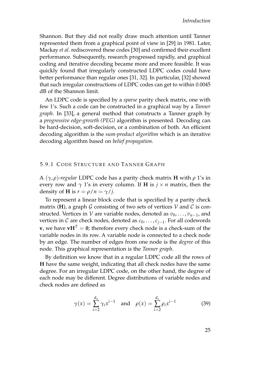Shannon. But they did not really draw much attention until Tanner represented them from a graphical point of view in [\[29\]](#page-56-7) in 1981. Later, Mackay *et al*. rediscovered these codes [\[30\]](#page-56-8) and confirmed their excellent performance. Subsequently, research progressed rapidly, and graphical coding and iterative decoding became more and more feasible. It was quickly found that irregularly constructed LDPC codes could have better performance than regular ones [\[31,](#page-56-9) [32\]](#page-56-10). In particular, [\[32\]](#page-56-10) showed that such irregular constructions of LDPC codes can get to within 0.0045 dB of the Shannon limit.

An LDPC code is specified by a *sparse* parity check matrix, one with few 1's. Such a code can be constructed in a graphical way by a *Tanner graph*. In [\[33\]](#page-56-11), a general method that constructs a Tanner graph by a *progressive edge-growth (PEG)* algorithm is presented. Decoding can be hard-decision, soft-decision, or a combination of both. An efficient decoding algorithm is the *sum-product algorithm* which is an iterative decoding algorithm based on *belief propagation*.

# <span id="page-40-0"></span>5.9.1 CODE STRUCTURE AND TANNER GRAPH

A (*γ*, *ρ*)-*regular* LDPC code has a parity check matrix **H** with *ρ* 1's in every row and  $\gamma$  1's in every column. If **H** is  $j \times n$  matrix, then the density of **H** is  $r = \rho/n = \gamma/i$ .

To represent a linear block code that is specified by a parity check matrix (**H**), a graph G consisting of two sets of vertices V and C is constructed. Vertices in V are variable nodes, denoted as  $v_0, \ldots, v_{n-1}$ , and vertices in *C* are check nodes, denoted as  $c_0, \ldots, c_{j-1}$ . For all codewords **v**, we have  $vH^T = 0$ ; therefore every check node is a check-sum of the variable nodes in its row. A variable node is connected to a check node by an edge. The number of edges from one node is the *degree* of this node. This graphical representation is the *Tanner graph*.

By definition we know that in a regular LDPC code all the rows of **H** have the same weight, indicating that all check nodes have the same degree. For an irregular LDPC code, on the other hand, the degree of each node may be different. Degree distributions of variable nodes and check nodes are defined as

$$
\gamma(x) = \sum_{i=2}^{d_v} \gamma_i x^{i-1}
$$
 and  $\rho(x) = \sum_{i=2}^{d_c} \rho_i x^{i-1}$  (39)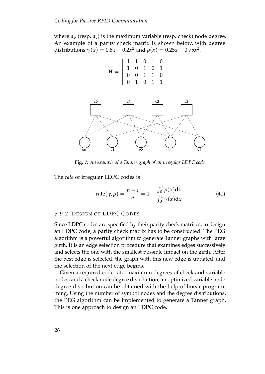where  $d<sub>v</sub>$  (resp.  $d<sub>c</sub>$ ) is the maximum variable (resp. check) node degree. An example of a parity check matrix is shown below, with degree distributions  $\gamma(x) = 0.8x + 0.2x^2$  and  $\rho(x) = 0.25x + 0.75x^2$ .



<span id="page-41-1"></span>

**Fig. 7:** *An example of a Tanner graph of an irregular LDPC code*

The *rate* of irregular LDPC codes is

rate
$$
(\gamma, \rho) = \frac{n-j}{n} = 1 - \frac{\int_0^1 \rho(x) dx}{\int_0^1 \gamma(x) dx}.
$$
 (40)

#### <span id="page-41-0"></span>5.9.2 DESIGN OF LDPC CODES

Since LDPC codes are specified by their parity check matrices, to design an LDPC code, a parity check matrix has to be constructed. The PEG algorithm is a powerful algorithm to generate Tanner graphs with large girth. It is an edge selection procedure that examines edges successively and selects the one with the smallest possible impact on the girth. After the best edge is selected, the graph with this new edge is updated, and the selection of the next edge begins.

Given a required code rate, maximum degrees of check and variable nodes, and a check node degree distribution, an optimized variable node degree distribution can be obtained with the help of linear programming. Using the number of symbol nodes and the degree distributions, the PEG algorithm can be implemented to generate a Tanner graph. This is one approach to design an LDPC code.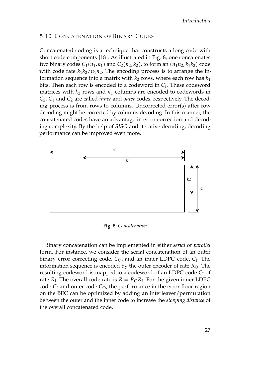# <span id="page-42-0"></span>5.10 CONCATENATION OF BINARY CODES

Concatenated coding is a technique that constructs a long code with short code components [\[18\]](#page-55-9). As illustrated in Fig. [8,](#page-42-1) one concatenates two binary codes  $C_1(n_1, k_1)$  and  $C_2(n_2, k_2)$ , to form an  $(n_1n_2, k_1k_2)$  code with code rate  $k_1k_2/n_1n_2$ . The encoding process is to arrange the information sequence into a matrix with  $k_2$  rows, where each row has  $k_1$ bits. Then each row is encoded to a codeword in *C*1. These codeword matrices with  $k_2$  rows and  $n_1$  columns are encoded to codewords in *C*2. *C*<sup>1</sup> and *C*<sup>2</sup> are called *inner* and *outer* codes, respectively. The decoding process is from rows to columns. Uncorrected error(s) after row decoding might be corrected by columns decoding. In this manner, the concatenated codes have an advantage in error correction and decoding complexity. By the help of *SISO* and iterative decoding, decoding performance can be improved even more.

<span id="page-42-1"></span>

**Fig. 8:** *Concatenation*

Binary concatenation can be implemented in either *serial* or *parallel* form. For instance, we consider the serial concatenation of an outer binary error correcting code, C<sub>O</sub>, and an inner LDPC code, C<sub>I</sub>. The information sequence is encoded by the outer encoder of rate  $R<sub>O</sub>$ . The resulting codeword is mapped to a codeword of an LDPC code C<sub>I</sub> of rate  $R_{\rm I}$ . The overall code rate is  $R=R_{\rm O}R_{\rm I}$ . For the given inner LDPC code  $C_I$  and outer code  $C_O$ , the performance in the error floor region on the BEC can be optimized by adding an interleaver/permutation between the outer and the inner code to increase the *stopping distance* of the overall concatenated code.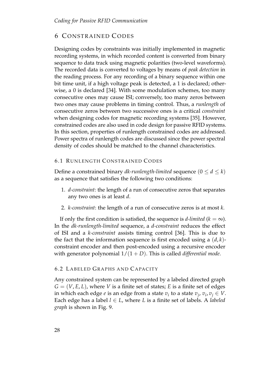# <span id="page-43-0"></span>**6 CONSTRAINED CODES**

Designing codes by constraints was initially implemented in magnetic recording systems, in which recorded content is converted from binary sequence to data track using magnetic polarities (two-level waveforms). The recorded data is converted to voltages by means of *peak detection* in the reading process. For any recording of a binary sequence within one bit time unit, if a high voltage peak is detected, a 1 is declared; otherwise, a 0 is declared [\[34\]](#page-57-0). With some modulation schemes, too many consecutive ones may cause ISI; conversely, too many zeros between two ones may cause problems in timing control. Thus, a *runlength* of consecutive zeros between two successive ones is a critical *constraint* when designing codes for magnetic recording systems [\[35\]](#page-57-1). However, constrained codes are also used in code design for passive RFID systems. In this section, properties of runlength constrained codes are addressed. Power spectra of runlength codes are discussed since the power spectral density of codes should be matched to the channel characteristics.

# <span id="page-43-1"></span>6.1 RUNLENGTH CONSTRAINED CODES

Define a constrained binary *dk-runlength-limited* sequence  $(0 \le d \le k)$ as a sequence that satisfies the following two conditions:

- 1. *d-constraint*: the length of a run of consecutive zeros that separates any two ones is at least *d*.
- 2. *k-constraint*: the length of a run of consecutive zeros is at most *k*.

If only the first condition is satisfied, the sequence is *d-limited* ( $k = \infty$ ). In the *dk-runlength-limited* sequence, a *d-constraint* reduces the effect of ISI and a *k-constraint* assists timing control [\[36\]](#page-57-2). This is due to the fact that the information sequence is first encoded using a (*d*, *k*) constraint encoder and then post-encoded using a recursive encoder with generator polynomial  $1/(1+D)$ . This is called *differential mode*.

# <span id="page-43-2"></span>6.2 LABELED GRAPHS AND CAPACITY

Any constrained system can be represented by a labeled directed graph  $G = (V, E, L)$ , where *V* is a finite set of states; *E* is a finite set of edges in which each edge *e* is an edge from a state  $v_i$  to a state  $v_j$ ,  $v_i$ ,  $v_j \in V$ . Each edge has a label  $l \in L$ , where L is a finite set of labels. A *labeled graph* is shown in Fig. [9.](#page-44-0)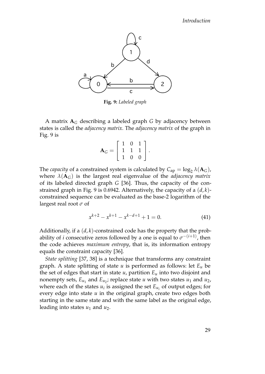<span id="page-44-0"></span>

**Fig. 9:** *Labeled graph*

A matrix  $A_G$  describing a labeled graph *G* by adjacency between states is called the *adjacency matrix*. The *adjacency matrix* of the graph in Fig. [9](#page-44-0) is

$$
\mathbf{A}_G = \left[ \begin{array}{rrr} 1 & 0 & 1 \\ 1 & 1 & 1 \\ 1 & 0 & 0 \end{array} \right].
$$

The *capacity* of a constrained system is calculated by  $C_{ap} = \log_2 \lambda(A_G)$ , where  $\lambda(\mathbf{A}_G)$  is the largest real eigenvalue of the *adjacency matrix* of its labeled directed graph *G* [\[36\]](#page-57-2). Thus, the capacity of the constrained graph in Fig. [9](#page-44-0) is 0.6942. Alternatively, the capacity of a (*d*, *k*) constrained sequence can be evaluated as the base-2 logarithm of the largest real root *σ* of

$$
x^{k+2} - x^{k+1} - x^{k-d+1} + 1 = 0.
$$
 (41)

Additionally, if a (*d*, *k*)-constrained code has the property that the probability of *i* consecutive zeros followed by a one is equal to  $\sigma^{-(i+1)}$ , then the code achieves *maximum entropy*, that is, its information entropy equals the constraint capacity [\[36\]](#page-57-2).

*State splitting* [\[37,](#page-57-3) [38\]](#page-57-4) is a technique that transforms any constraint graph. A state splitting of state *u* is performed as follows: let *E<sup>u</sup>* be the set of edges that start in state  $u$ , partition  $E_u$  into two disjoint and nonempty sets*,*  $E_{u_1}$  and  $E_{u_2}$ ; replace state  $u$  with two states  $u_1$  and  $u_2$ , where each of the states  $u_i$  is assigned the set  $E_{u_i}$  of output edges; for every edge into state *u* in the original graph, create two edges both starting in the same state and with the same label as the original edge, leading into states *u*<sup>1</sup> and *u*2.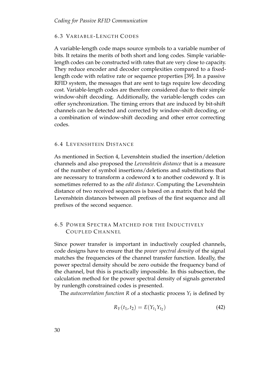# <span id="page-45-0"></span>6.3 VARIABLE-LENGTH CODES

A variable-length code maps source symbols to a variable number of bits. It retains the merits of both short and long codes. Simple variablelength codes can be constructed with rates that are very close to capacity. They reduce encoder and decoder complexities compared to a fixedlength code with relative rate or sequence properties [\[39\]](#page-57-5). In a passive RFID system, the messages that are sent to tags require low decoding cost. Variable-length codes are therefore considered due to their simple window-shift decoding. Additionally, the variable-length codes can offer synchronization. The timing errors that are induced by bit-shift channels can be detected and corrected by window-shift decoding, or a combination of window-shift decoding and other error correcting codes.

# <span id="page-45-1"></span>6.4 LEVENSHTEIN DISTANCE

As mentioned in Section 4, Levenshtein studied the insertion/deletion channels and also proposed the *Levenshtein distance* that is a measure of the number of symbol insertions/deletions and substitutions that are necessary to transform a codeword **x** to another codeword **y**. It is sometimes referred to as the *edit distance*. Computing the Levenshtein distance of two received sequences is based on a matrix that hold the Levenshtein distances between all prefixes of the first sequence and all prefixes of the second sequence.

# <span id="page-45-2"></span>6.5 POWER SPECTRA MATCHED FOR THE INDUCTIVELY COUPLED CHANNEL

Since power transfer is important in inductively coupled channels, code designs have to ensure that the *power spectral density* of the signal matches the frequencies of the channel transfer function. Ideally, the power spectral density should be zero outside the frequency band of the channel, but this is practically impossible. In this subsection, the calculation method for the power spectral density of signals generated by runlength constrained codes is presented.

The *autocorrelation function R* of a stochastic process *Y<sup>t</sup>* is defined by

$$
R_Y(t_1, t_2) = E(Y_{t_1} Y_{t_2})
$$
\n(42)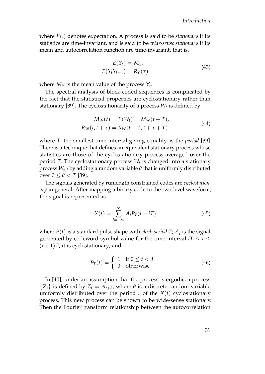where *E*(.) denotes expectation. A process is said to be *stationary* if its statistics are time-invariant, and is said to be *wide-sense stationary* if its mean and autocorrelation function are time-invariant, that is,

$$
E(Y_t) = M_Y,
$$
  
\n
$$
E(Y_t Y_{t+\tau}) = R_Y(\tau)
$$
\n(43)

where  $M_Y$  is the mean value of the process  $Y_t$ .

The spectral analysis of block-coded sequences is complicated by the fact that the statistical properties are cyclostationary rather than stationary [\[39\]](#page-57-5). The cyclostationarity of a process *W<sup>t</sup>* is defined by

$$
M_W(t) = E(W_t) = M_W(t+T),
$$
  
\n
$$
R_W(t, t + \tau) = R_W(t+T, t + \tau + T)
$$
\n(44)

where *T*, the smallest time interval giving equality, is the *period* [\[39\]](#page-57-5). There is a technique that defines an equivalent stationary process whose statistics are those of the cyclostationary process averaged over the period *T*. The cyclostationary process *W<sup>t</sup>* is changed into a stationary process *Wθ*,*<sup>t</sup>* by adding a random variable *θ* that is uniformly distributed over  $0 \leq \theta < T$  [\[39\]](#page-57-5).

The signals generated by runlength constrained codes are *cyclostationary* in general. After mapping a binary code to the two-level waveform, the signal is represented as

$$
X(t) = \sum_{i = -\infty}^{\infty} A_i P_T(t - iT)
$$
\n(45)

where  $P(t)$  is a standard pulse shape with *clock period T;*  $A_i$  is the signal generated by codeword symbol value for the time interval  $iT \leq t \leq$  $(i+1)T$ , it is cyclostationary; and

$$
P_T(t) = \begin{cases} 1 & \text{if } 0 \le t < T \\ 0 & \text{otherwise} \end{cases} \tag{46}
$$

In [\[40\]](#page-57-6), under an assumption that the process is ergodic, a process  ${Z_t}$  is defined by  $Z_t = A_{t+\theta}$ , where  $\theta$  is a discrete random variable uniformly distributed over the period  $r$  of the  $X(t)$  cyclostationary process. This new process can be shown to be wide-sense stationary. Then the Fourier transform relationship between the autocorrelation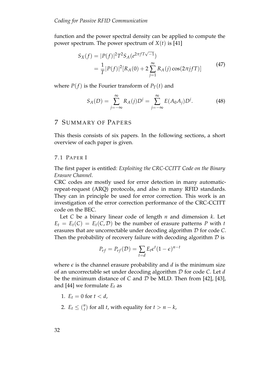function and the power spectral density can be applied to compute the power spectrum. The power spectrum of  $X(t)$  is [\[41\]](#page-57-7)

$$
S_X(f) = |P(f)|^2 T^2 S_A(e^{2\pi f T \sqrt{-1}})
$$
  
=  $\frac{1}{T} |P(f)|^2 [R_A(0) + 2 \sum_{j=1}^{\infty} R_A(j) \cos(2\pi j f T)]$  (47)

where  $P(f)$  is the Fourier transform of  $P_T(t)$  and

$$
S_A(D) = \sum_{j=-\infty}^{\infty} R_A(j)D^j = \sum_{j=-\infty}^{\infty} E(A_0A_j)D^j.
$$
 (48)

# <span id="page-47-0"></span>7 SUMMARY OF PAPERS

This thesis consists of six papers. In the following sections, a short overview of each paper is given.

# <span id="page-47-1"></span>7.1 PAPER I

The first paper is entitled: *Exploiting the CRC-CCITT Code on the Binary Erasure Channel*.

CRC codes are mostly used for error detection in many automaticrepeat-request (ARQ) protocols, and also in many RFID standards. They can in principle be used for error correction. This work is an investigation of the error correction performance of the CRC-CCITT code on the BEC.

Let *C* be a binary linear code of length *n* and dimension *k*. Let  $E_t = E_t(C) = E_t(C, D)$  be the number of erasure patterns *P* with *t* erasures that are uncorrectable under decoding algorithm D for code *C*. Then the probability of recovery failure with decoding algorithm  $D$  is

<span id="page-47-2"></span>
$$
P_{rf} = P_{rf}(\mathcal{D}) = \sum_{t=d} E_t \epsilon^t (1-\epsilon)^{n-t}
$$

where  $\epsilon$  is the channel erasure probability and  $d$  is the minimum size of an uncorrectable set under decoding algorithm D for code *C*. Let *d* be the minimum distance of *C* and D be MLD. Then from [\[42\]](#page-57-8), [\[43\]](#page-57-9), and [\[44\]](#page-57-10) we formulate  $E_t$  as

- 1.  $E_t = 0$  for  $t < d$ ,
- 2.  $E_t \leq {n \choose t}$  for all *t*, with equality for  $t > n k$ ,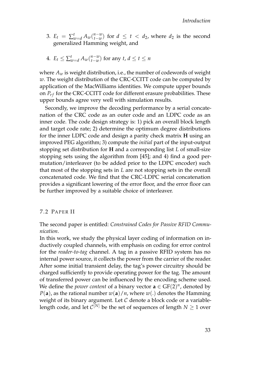- 3.  $E_t = \sum_{w=d}^t A_w \binom{n-w}{t-w}$  for  $d \le t < d_2$ , where  $d_2$  is the second generalized Hamming weight, and
- 4.  $E_t \leq \sum_{w=d}^t A_w \binom{n-w}{t-w}$  for any  $t, d \leq t \leq n$

where *A<sup>w</sup>* is weight distribution, i.e., the number of codewords of weight *w*. The weight distribution of the CRC-CCITT code can be computed by application of the MacWilliams identities. We compute upper bounds on  $P_{rf}$  for the CRC-CCITT code for different erasure probabilities. These upper bounds agree very well with simulation results.

Secondly, we improve the decoding performance by a serial concatenation of the CRC code as an outer code and an LDPC code as an inner code. The code design strategy is: 1) pick an overall block length and target code rate; 2) determine the optimum degree distributions for the inner LDPC code and design a parity check matrix **H** using an improved PEG algorithm; 3) compute the *initial* part of the input-output stopping set distribution for **H** and a corresponding list *L* of small-size stopping sets using the algorithm from [\[45\]](#page-57-11); and 4) find a good permutation/interleaver (to be added prior to the LDPC encoder) such that most of the stopping sets in *L* are not stopping sets in the overall concatenated code. We find that the CRC-LDPC serial concatenation provides a significant lowering of the error floor, and the error floor can be further improved by a suitable choice of interleaver.

#### <span id="page-48-0"></span>7.2 PAPER II

The second paper is entitled: *Constrained Codes for Passive RFID Communication*.

In this work, we study the physical layer coding of information on inductively coupled channels, with emphasis on coding for error control for the *reader-to-tag* channel. A tag in a passive RFID system has no internal power source, it collects the power from the carrier of the reader. After some initial transient delay, the tag's power circuitry should be charged sufficiently to provide operating power for the tag. The amount of transferred power can be influenced by the encoding scheme used. We define the *power content* of a binary vector  $\mathbf{a} \in \mathbb{G}F(2)^n$ , denoted by  $P(a)$ , as the rational number  $w(a)/n$ , where  $w(.)$  denotes the Hamming weight of its binary argument. Let  $C$  denote a block code or a variablelength code, and let  $\mathcal{C}^{[N]}$  be the set of sequences of length  $N \geq 1$  over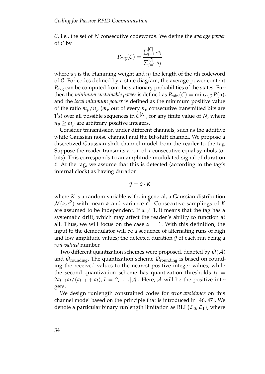C, i.e., the set of *N* consecutive codewords. We define the *average power* of  $C$  by

$$
P_{\text{avg}}(\mathcal{C}) = \frac{\sum_{j=1}^{|C|} w_j}{\sum_{j=1}^{|C|} n_j}
$$

where *w<sup>j</sup>* is the Hamming weight and *n<sup>j</sup>* the length of the *j*th codeword of C. For codes defined by a state diagram, the average power content *P*<sub>avg</sub> can be computed from the stationary probabilities of the states. Further, the *minimum sustainable power* is defined as  $P_{\text{min}}(\mathcal{C}) = \min_{\mathbf{a} \in \mathcal{C}} P(\mathbf{a})$ , and the *local minimum power* is defined as the minimum positive value of the ratio  $m_p/n_p$  ( $m_p$  out of every  $n_p$  consecutive transmitted bits are 1's) over all possible sequences in  $\mathcal{C}^{[N]}$ , for any finite value of *N*, where  $n_p \geq m_p$  are arbitrary positive integers.

Consider transmission under different channels, such as the additive white Gaussian noise channel and the bit-shift channel. We propose a discretized Gaussian shift channel model from the reader to the tag. Suppose the reader transmits a run of  $\tilde{x}$  consecutive equal symbols (or bits). This corresponds to an amplitude modulated signal of duration  $\tilde{x}$ . At the tag, we assume that this is detected (according to the tag's internal clock) as having duration

$$
\tilde{y} = \tilde{x} \cdot K
$$

where *K* is a random variable with, in general, a Gaussian distribution  $N(\alpha, \varepsilon^2)$  with mean *α* and variance  $\varepsilon^2$ . Consecutive samplings of *K* are assumed to be independent. If  $\alpha \neq 1$ , it means that the tag has a systematic drift, which may affect the reader's ability to function at all. Thus, we will focus on the case  $\alpha = 1$ . With this definition, the input to the demodulator will be a sequence of alternating runs of high and low amplitude values; the detected duration  $\tilde{y}$  of each run being a *real-valued* number.

Two different quantization schemes were proposed, denoted by  $\mathcal{Q}(\mathcal{A})$ and  $\mathcal{Q}_{\text{rounding}}$ . The quantization scheme  $\mathcal{Q}_{\text{rounding}}$  is based on rounding the received values to the nearest positive integer values, while the second quantization scheme has quantization thresholds  $t_l$  =  $2a_{l-1}a_l/(a_{l-1}+a_l)$ ,  $l=2,\ldots,|\mathcal{A}|$ . Here,  $\mathcal A$  will be the positive integers.

We design runlength constrained codes for *error avoidance* on this channel model based on the principle that is introduced in [\[46,](#page-57-12) [47\]](#page-58-0). We denote a particular binary runlength limitation as  $RLL(\mathcal{L}_0,\mathcal{L}_1)$ , where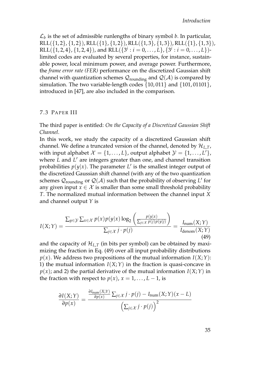$\mathcal{L}_b$  is the set of admissible runlengths of binary symbol *b*. In particular,  $RLL({1, 2}, {1, 2})$ ,  $RLL({1}, {1, 2})$ ,  $RLL({1, 3}, {1, 3})$ ,  $RLL({1}, {1, 3})$ , RLL({1, 2, 4}, {1, 2, 4}), and RLL({ $3<sup>i</sup>$  : *i* = 0, . . . , *L*}, { $3<sup>i</sup>$  : *i* = 0, . . . , *L*})limited codes are evaluated by several properties, for instance, sustainable power, local minimum power, and average power. Furthermore, the *frame error rate (FER)* performance on the discretized Gaussian shift channel with quantization schemes  $\mathcal{Q}_{\text{rounding}}$  and  $\mathcal{Q}(\mathcal{A})$  is compared by simulation. The two variable-length codes {10,011} and {101,01101}, introduced in [\[47\]](#page-58-0), are also included in the comparison.

# <span id="page-50-0"></span>7.3 PAPER III

The third paper is entitled: *On the Capacity of a Discretized Gaussian Shift Channel*.

In this work, we study the capacity of a discretized Gaussian shift channel. We define a truncated version of the channel, denoted by H*L*,*T*, with input alphabet  $\mathcal{X} = \{1, ..., L\}$ , output alphabet  $\mathcal{Y} = \{1, ..., L'\}$ , where *L* and *L* ′ are integers greater than one, and channel transition probabilities  $p(y|x)$ . The parameter  $L'$  is the smallest integer output of the discretized Gaussian shift channel (with any of the two quantization schemes  $\mathcal{Q}_{\text{rounding}}$  or  $\mathcal{Q}(\mathcal{A})$  such that the probability of observing *L'* for any given input  $x \in \mathcal{X}$  is smaller than some small threshold probability *T*. The normalized mutual information between the channel input *X* and channel output *Y* is

$$
I(X;Y) = \frac{\sum_{y \in \mathcal{Y}} \sum_{x \in \mathcal{X}} p(x) p(y|x) \log_2 \left( \frac{p(y|x)}{\sum_{j \in \mathcal{X}} p(j) p(y|j)} \right)}{\sum_{j \in \mathcal{X}} j \cdot p(j)} = \frac{I_{\text{num}}(X;Y)}{I_{\text{denom}}(X;Y)} \tag{49}
$$

and the capacity of  $\mathcal{H}_{L,T}$  (in bits per symbol) can be obtained by maximizing the fraction in Eq. [\(49\)](#page-47-2) over all input probability distributions  $p(x)$ . We address two propositions of the mutual information  $I(X;Y)$ : 1) the mutual information  $I(X;Y)$  in the fraction is quasi-concave in  $p(x)$ ; and 2) the partial derivative of the mutual information  $I(X;Y)$  in the fraction with respect to  $p(x)$ ,  $x = 1, \ldots, L-1$ , is

$$
\frac{\partial I(X;Y)}{\partial p(x)} = \frac{\frac{\partial I_{\text{num}}(X;Y)}{\partial p(x)} \sum_{j \in \mathcal{X}} j \cdot p(j) - I_{\text{num}}(X;Y)(x - L)}{\left(\sum_{j \in \mathcal{X}} j \cdot p(j)\right)^2}
$$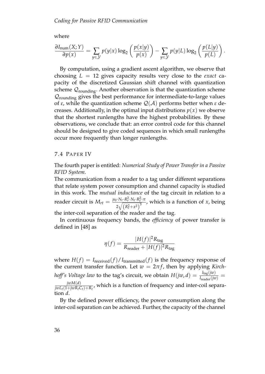where

$$
\frac{\partial I_{\text{num}}(X;Y)}{\partial p(x)} = \sum_{y \in \mathcal{Y}} p(y|x) \log_2 \left( \frac{p(x|y)}{p(x)} \right) - \sum_{y \in \mathcal{Y}} p(y|L) \log_2 \left( \frac{p(L|y)}{p(L)} \right).
$$

By computation, using a gradient ascent algorithm, we observe that choosing *L* = 12 gives capacity results very close to the *exact* capacity of the discretized Gaussian shift channel with quantization scheme  $\mathcal{Q}_{\text{rounding}}$ . Another observation is that the quantization scheme  $\mathcal{Q}_{\text{rounding}}$  gives the best performance for intermediate-to-large values of *ε*, while the quantization scheme Q(A) performs better when *ε* decreases. Additionally, in the optimal input distributions  $p(x)$  we observe that the shortest runlengths have the highest probabilities. By these observations, we conclude that: an error control code for this channel should be designed to give coded sequences in which small runlengths occur more frequently than longer runlengths.

### <span id="page-51-0"></span>7.4 PAPER IV

The fourth paper is entitled: *Numerical Study of Power Transfer in a Passive RFID System*.

The communication from a reader to a tag under different separations that relate system power consumption and channel capacity is studied in this work. The *mutual inductance* of the tag circuit in relation to a reader circuit is  $M_{rt} = \frac{\mu_0 \cdot N_r \cdot R_r^2 \cdot N_t \cdot R_t^2 \cdot \pi}{\sqrt{(R_r^2 - R_r^3)^3}}$  $\frac{2\sqrt{(R_r^2+x_r^2)^3}}{2\sqrt{(R_r^2+x^2)^3}}$ , which is a function of *x*, being

the inter-coil separation of the reader and the tag.

In continuous frequency bands, the *efficiency* of power transfer is defined in [\[48\]](#page-58-1) as

$$
\eta(f) = \frac{|H(f)|^2 R_{\text{tag}}}{R_{\text{reader}} + |H(f)|^2 R_{\text{tag}}}
$$

where  $H(f) = I_{\text{received}}(f)/I_{\text{transmitted}}(f)$  is the frequency response of the current transfer function. Let  $w = 2\pi f$ , then by applying *Kirchhoff's Voltage law* to the tag's circuit, we obtain  $H(jw, d) = \frac{I_{\text{tag}}(jw)}{I_{\text{reader}}(jw)} =$ *jwM*(*d*)  $\frac{f^{(UN)}(u)}{f^{(U)}(1+f^{(U)}R_tC_t)+R_t}$ , which is a function of frequency and inter-coil separation *d*.

By the defined power efficiency, the power consumption along the inter-coil separation can be achieved. Further, the capacity of the channel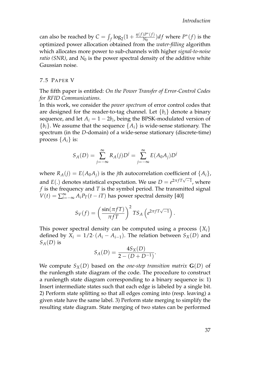can also be reached by  $C = \int_f \log_2(1 + \frac{\eta(f)P^*(f)}{N_0})$  $\frac{f^{\prime\prime}(f)}{N_0}(f)$  where  $P^*(f)$  is the optimized power allocation obtained from the *water-filling* algorithm which allocates more power to sub-channels with higher *signal-to-noise ratio (SNR)*, and  $N_0$  is the power spectral density of the additive white Gaussian noise.

#### <span id="page-52-0"></span>7.5 PAPER V

The fifth paper is entitled: *On the Power Transfer of Error-Control Codes for RFID Communications*.

In this work, we consider the *power spectrum* of error control codes that are designed for the reader-to-tag channel. Let  ${b_i}$  denote a binary sequence, and let  $A_i = 1 - 2b_i$ , being the BPSK-modulated version of  ${b_i}$ . We assume that the sequence  ${A_i}$  is wide-sense stationary. The spectrum (in the *D*-domain) of a wide-sense stationary (discrete-time) process  $\{A_i\}$  is:

$$
S_A(D) = \sum_{j=-\infty}^{\infty} R_A(j)D^j = \sum_{j=-\infty}^{\infty} E(A_0A_j)D^j
$$

where  $R_A(i) = E(A_0A_i)$  is the *j*th autocorrelation coefficient of  $\{A_i\}$ , and *E*(.) denotes statistical expectation. We use  $D = e^{2\pi fT\sqrt{-1}}$ , where *f* is the frequency and *T* is the symbol period. The transmitted signal  $V(t) = \sum_{i=-\infty}^{\infty} A_i P_T(t - iT)$  has power spectral density [\[40\]](#page-57-6)

$$
S_V(f) = \left(\frac{\sin(\pi f T)}{\pi f T}\right)^2 TS_A\left(e^{2\pi f T\sqrt{-1}}\right).
$$

This power spectral density can be computed using a process  $\{X_i\}$ defined by  $X_i = 1/2 \cdot (A_i - A_{i-1})$ . The relation between  $S_X(D)$  and  $S_A(D)$  is

$$
S_A(D) = \frac{4S_X(D)}{2 - (D + D^{-1})}.
$$

We compute  $S_X(D)$  based on the *one-step transition matrix*  $G(D)$  of the runlength state diagram of the code. The procedure to construct a runlength state diagram corresponding to a binary sequence is: 1) Insert intermediate states such that each edge is labeled by a single bit. 2) Perform state splitting so that all edges coming into (resp. leaving) a given state have the same label. 3) Perform state merging to simplify the resulting state diagram. State merging of two states can be performed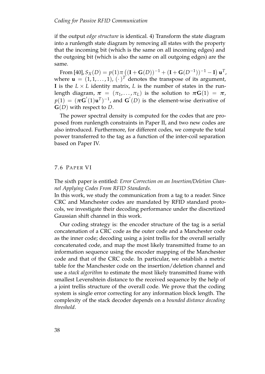if the output *edge structure* is identical. 4) Transform the state diagram into a runlength state diagram by removing all states with the property that the incoming bit (which is the same on all incoming edges) and the outgoing bit (which is also the same on all outgoing edges) are the same.

 $\text{From } [40], S_X(D) = p(1)\pi((\mathbf{I} + \mathbf{G}(D))^{-1} + (\mathbf{I} + \mathbf{G}(D^{-1}))^{-1} - \mathbf{I}) \mathbf{u}^T$  $\text{From } [40], S_X(D) = p(1)\pi((\mathbf{I} + \mathbf{G}(D))^{-1} + (\mathbf{I} + \mathbf{G}(D^{-1}))^{-1} - \mathbf{I}) \mathbf{u}^T$  $\text{From } [40], S_X(D) = p(1)\pi((\mathbf{I} + \mathbf{G}(D))^{-1} + (\mathbf{I} + \mathbf{G}(D^{-1}))^{-1} - \mathbf{I}) \mathbf{u}^T$ where  $\mathbf{u} = (1, 1, \ldots, 1), (\cdot)^T$  denotes the transpose of its argument, **I** is the  $L \times L$  identity matrix, *L* is the number of states in the runlength diagram,  $\pi = (\pi_1, ..., \pi_L)$  is the solution to  $\pi G(1) = \pi$ ,  $p(1) = (\pi \mathbf{G}'(1) \mathbf{u}^T)^{-1}$ , and  $\mathbf{G}'(D)$  is the element-wise derivative of **G**(*D*) with respect to *D*.

The power spectral density is computed for the codes that are proposed from runlength constraints in Paper II, and two new codes are also introduced. Furthermore, for different codes, we compute the total power transferred to the tag as a function of the inter-coil separation based on Paper IV.

# <span id="page-53-0"></span>7.6 PAPER VI

The sixth paper is entitled: *Error Correction on an Insertion/Deletion Channel Applying Codes From RFID Standards*.

In this work, we study the communication from a tag to a reader. Since CRC and Manchester codes are mandated by RFID standard protocols, we investigate their decoding performance under the discretized Gaussian shift channel in this work.

Our coding strategy is: the encoder structure of the tag is a serial concatenation of a CRC code as the outer code and a Manchester code as the inner code; decoding using a joint trellis for the overall serially concatenated code, and map the most likely transmitted frame to an information sequence using the encoder mapping of the Manchester code and that of the CRC code. In particular, we establish a metric table for the Manchester code on the insertion/deletion channel and use a *stack algorithm* to estimate the most likely transmitted frame with smallest Levenshtein distance to the received sequence by the help of a joint trellis structure of the overall code. We prove that the coding system is single error correcting for any information block length. The complexity of the stack decoder depends on a *bounded distance decoding threshold*.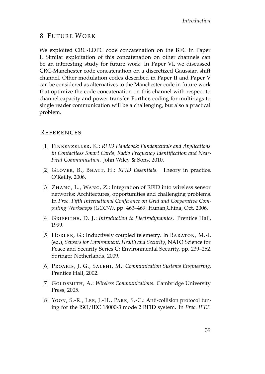# <span id="page-54-0"></span>8 FUTURE WORK

We exploited CRC-LDPC code concatenation on the BEC in Paper I. Similar exploitation of this concatenation on other channels can be an interesting study for future work. In Paper VI, we discussed CRC-Manchester code concatenation on a discretized Gaussian shift channel. Other modulation codes described in Paper II and Paper V can be considered as alternatives to the Manchester code in future work that optimize the code concatenation on this channel with respect to channel capacity and power transfer. Further, coding for multi-tags to single reader communication will be a challenging, but also a practical problem.

# **REFERENCES**

- <span id="page-54-1"></span>[1] Finkenzeller, K.: *RFID Handbook: Fundamentals and Applications in Contactless Smart Cards, Radio Frequency Identification and Near-Field Communication*. John Wiley & Sons, 2010.
- <span id="page-54-2"></span>[2] Glover, B., Bhatt, H.: *RFID Essentials*. Theory in practice. O'Reilly, 2006.
- <span id="page-54-3"></span>[3] ZHANG, L., WANG, Z.: Integration of RFID into wireless sensor networks: Architectures, opportunities and challenging problems. In *Proc. Fifth International Conference on Grid and Cooperative Computing Workshops (GCCW)*, pp. 463–469. Hunan,China, Oct. 2006.
- <span id="page-54-4"></span>[4] GRIFFITHS, D. J.: *Introduction to Electrodynamics*. Prentice Hall, 1999.
- <span id="page-54-5"></span>[5] HORLER, G.: Inductively coupled telemetry. In BARATON, M.-I. (ed.), *Sensors for Environment, Health and Security*, NATO Science for Peace and Security Series C: Environmental Security, pp. 239–252. Springer Netherlands, 2009.
- <span id="page-54-6"></span>[6] Proakis, J. G., Salehi, M.: *Communication Systems Engineering*. Prentice Hall, 2002.
- <span id="page-54-7"></span>[7] GOLDSMITH, A.: *Wireless Communications*. Cambridge University Press, 2005.
- <span id="page-54-8"></span>[8] Yoon, S.-R., Lee, J.-H., Park, S.-C.: Anti-collision protocol tuning for the ISO/IEC 18000-3 mode 2 RFID system. In *Proc. IEEE*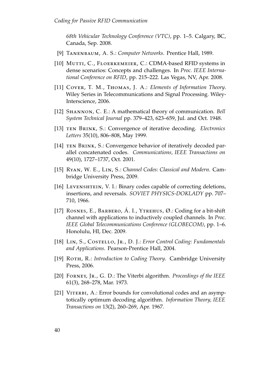*68th Vehicular Technology Conference (VTC)*, pp. 1–5. Calgary, BC, Canada, Sep. 2008.

- <span id="page-55-0"></span>[9] Tanenbaum, A. S.: *Computer Networks*. Prentice Hall, 1989.
- <span id="page-55-1"></span>[10] MUTTI, C., FLOERKEMEIER, C.: CDMA-based RFID systems in dense scenarios: Concepts and challenges. In *Proc. IEEE International Conference on RFID*, pp. 215–222. Las Vegas, NV, Apr. 2008.
- <span id="page-55-2"></span>[11] Cover, T. M., Thomas, J. A.: *Elements of Information Theory*. Wiley Series in Telecommunications and Signal Processing. Wiley-Interscience, 2006.
- <span id="page-55-3"></span>[12] Shannon, C. E.: A mathematical theory of communication. *Bell System Technical Journal* pp. 379–423, 623–659, Jul. and Oct. 1948.
- <span id="page-55-4"></span>[13] ten Brink, S.: Convergence of iterative decoding. *Electronics Letters* 35(10), 806–808, May 1999.
- <span id="page-55-5"></span>[14] TEN BRINK, S.: Convergence behavior of iteratively decoded parallel concatenated codes. *Communications, IEEE Transactions on* 49(10), 1727–1737, Oct. 2001.
- <span id="page-55-6"></span>[15] Ryan, W. E., Lin, S.: *Channel Codes: Classical and Modern*. Cambridge University Press, 2009.
- <span id="page-55-7"></span>[16] LEVENSHTEIN, V. I.: Binary codes capable of correcting deletions, insertions, and reversals. *SOVIET PHYSICS-DOKLADY* pp. 707– 710, 1966.
- <span id="page-55-8"></span>[17] ROSNES, E., BARBERO, Á. I., YTREHUS, Ø.: Coding for a bit-shift channel with applications to inductively coupled channels. In *Proc. IEEE Global Telecommunications Conference (GLOBECOM)*, pp. 1–6. Honolulu, HI, Dec. 2009.
- <span id="page-55-9"></span>[18] Lin, S., Costello, Jr., D. J.: *Error Control Coding: Fundamentals and Applications*. Pearson-Prentice Hall, 2004.
- <span id="page-55-10"></span>[19] ROTH, R.: *Introduction to Coding Theory*. Cambridge University Press, 2006.
- <span id="page-55-11"></span>[20] Forney, Jr., G. D.: The Viterbi algorithm. *Proceedings of the IEEE* 61(3), 268–278, Mar. 1973.
- <span id="page-55-12"></span>[21] VITERBI, A.: Error bounds for convolutional codes and an asymptotically optimum decoding algorithm. *Information Theory, IEEE Transactions on* 13(2), 260–269, Apr. 1967.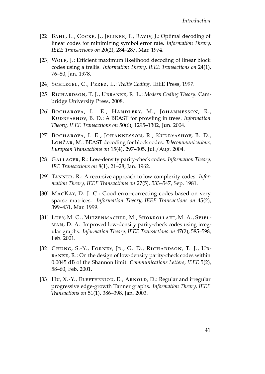- <span id="page-56-0"></span>[22] BAHL, L., COCKE, J., JELINEK, F., RAVIV, J.: Optimal decoding of linear codes for minimizing symbol error rate. *Information Theory, IEEE Transactions on* 20(2), 284–287, Mar. 1974.
- <span id="page-56-1"></span>[23] WOLF, J.: Efficient maximum likelihood decoding of linear block codes using a trellis. *Information Theory, IEEE Transactions on* 24(1), 76–80, Jan. 1978.
- <span id="page-56-2"></span>[24] Schlegel, C., Perez, L.: *Trellis Coding*. IEEE Press, 1997.
- <span id="page-56-3"></span>[25] Richardson, T. J., Urbanke, R. L.: *Modern Coding Theory*. Cambridge University Press, 2008.
- <span id="page-56-4"></span>[26] BOCHAROVA, I. E., HANDLERY, M., JOHANNESSON, R., Kudryashov, B. D.: A BEAST for prowling in trees. *Information Theory, IEEE Transactions on* 50(6), 1295–1302, Jun. 2004.
- <span id="page-56-5"></span>[27] BOCHAROVA, I. E., JOHANNESSON, R., KUDRYASHOV, B. D., LONČAR, M.: BEAST decoding for block codes. *Telecommunications*, *European Transactions on* 15(4), 297–305, Jul./Aug. 2004.
- <span id="page-56-6"></span>[28] GALLAGER, R.: Low-density parity-check codes. *Information Theory*, *IRE Transactions on* 8(1), 21–28, Jan. 1962.
- <span id="page-56-7"></span>[29] Tanner, R.: A recursive approach to low complexity codes. *Information Theory, IEEE Transactions on* 27(5), 533–547, Sep. 1981.
- <span id="page-56-8"></span>[30] MACKAY, D. J. C.: Good error-correcting codes based on very sparse matrices. *Information Theory, IEEE Transactions on* 45(2), 399–431, Mar. 1999.
- <span id="page-56-9"></span>[31] Luby, M. G., Mitzenmacher, M., Shokrollahi, M. A., Spielman, D. A.: Improved low-density parity-check codes using irregular graphs. *Information Theory, IEEE Transactions on* 47(2), 585–598, Feb. 2001.
- <span id="page-56-10"></span>[32] CHUNG, S.-Y., FORNEY, JR., G. D., RICHARDSON, T. J., URbanke, R.: On the design of low-density parity-check codes within 0.0045 dB of the Shannon limit. *Communications Letters, IEEE* 5(2), 58–60, Feb. 2001.
- <span id="page-56-11"></span>[33] Hu, X.-Y., ELEFTHERIOU, E., ARNOLD, D.: Regular and irregular progressive edge-growth Tanner graphs. *Information Theory, IEEE Transactions on* 51(1), 386–398, Jan. 2003.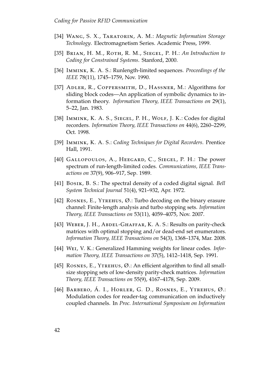- <span id="page-57-0"></span>[34] Wang, S. X., Taratorin, A. M.: *Magnetic Information Storage Technology*. Electromagnetism Series. Academic Press, 1999.
- <span id="page-57-1"></span>[35] Brian, H. M., Roth, R. M., Siegel, P. H.: *An Introduction to Coding for Constrained Systems*. Stanford, 2000.
- <span id="page-57-2"></span>[36] Immink, K. A. S.: Runlength-limited sequences. *Proceedings of the IEEE* 78(11), 1745–1759, Nov. 1990.
- <span id="page-57-3"></span>[37] ADLER, R., COPPERSMITH, D., HASSNER, M.: Algorithms for sliding block codes—An application of symbolic dynamics to information theory. *Information Theory, IEEE Transactions on* 29(1), 5–22, Jan. 1983.
- <span id="page-57-4"></span>[38] IMMINK, K. A. S., SIEGEL, P. H., WOLF, J. K.: Codes for digital recorders. *Information Theory, IEEE Transactions on* 44(6), 2260–2299, Oct. 1998.
- <span id="page-57-5"></span>[39] Immink, K. A. S.: *Coding Techniques for Digital Recorders*. Prentice Hall, 1991.
- <span id="page-57-6"></span>[40] GALLOPOULOS, A., HEEGARD, C., SIEGEL, P. H.: The power spectrum of run-length-limited codes. *Communications, IEEE Transactions on* 37(9), 906–917, Sep. 1989.
- <span id="page-57-7"></span>[41] Bosik, B. S.: The spectral density of a coded digital signal. *Bell System Technical Journal* 51(4), 921–932, Apr. 1972.
- <span id="page-57-8"></span>[42] ROSNES, E., YTREHUS, Ø.: Turbo decoding on the binary erasure channel: Finite-length analysis and turbo stopping sets. *Information Theory, IEEE Transactions on* 53(11), 4059–4075, Nov. 2007.
- <span id="page-57-9"></span>[43] WEBER, J. H., ABDEL-GHAFFAR, K. A. S.: Results on parity-check matrices with optimal stopping and/or dead-end set enumerators. *Information Theory, IEEE Transactions on* 54(3), 1368–1374, Mar. 2008.
- <span id="page-57-10"></span>[44] Wei, V. K.: Generalized Hamming weights for linear codes. *Information Theory, IEEE Transactions on* 37(5), 1412–1418, Sep. 1991.
- <span id="page-57-11"></span>[45] ROSNES, E., YTREHUS,  $\emptyset$ .: An efficient algorithm to find all smallsize stopping sets of low-density parity-check matrices. *Information Theory, IEEE Transactions on* 55(9), 4167–4178, Sep. 2009.
- <span id="page-57-12"></span>[46] Barbero, Á. I., Horler, G. D., Rosnes, E., Ytrehus, Ø.: Modulation codes for reader-tag communication on inductively coupled channels. In *Proc. International Symposium on Information*